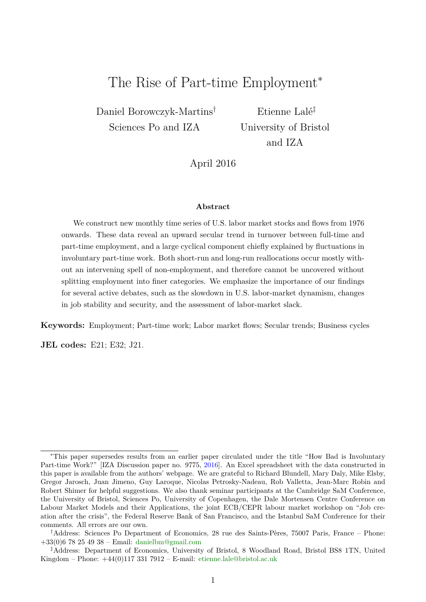# <span id="page-0-0"></span>The Rise of Part-time Employment<sup>\*</sup>

Daniel Borowczyk-Martins† Sciences Po and IZA

Etienne Lalé‡ University of Bristol and IZA

April 2016

#### **Abstract**

We construct new monthly time series of U.S. labor market stocks and flows from 1976 onwards. These data reveal an upward secular trend in turnover between full-time and part-time employment, and a large cyclical component chiefly explained by fluctuations in involuntary part-time work. Both short-run and long-run reallocations occur mostly without an intervening spell of non-employment, and therefore cannot be uncovered without splitting employment into finer categories. We emphasize the importance of our findings for several active debates, such as the slowdown in U.S. labor-market dynamism, changes in job stability and security, and the assessment of labor-market slack.

**Keywords:** Employment; Part-time work; Labor market flows; Secular trends; Business cycles

**JEL codes:** E21; E32; J21.

<sup>∗</sup>This paper supersedes results from an earlier paper circulated under the title "How Bad is Involuntary Part-time Work?" [IZA Discussion paper no. 9775, [2016\]](#page-28-0). An Excel spreadsheet with the data constructed in this paper is available from the authors' webpage. We are grateful to Richard Blundell, Mary Daly, Mike Elsby, Gregor Jarosch, Juan Jimeno, Guy Laroque, Nicolas Petrosky-Nadeau, Rob Valletta, Jean-Marc Robin and Robert Shimer for helpful suggestions. We also thank seminar participants at the Cambridge SaM Conference, the University of Bristol, Sciences Po, University of Copenhagen, the Dale Mortensen Centre Conference on Labour Market Models and their Applications, the joint ECB/CEPR labour market workshop on "Job creation after the crisis", the Federal Reserve Bank of San Francisco, and the Istanbul SaM Conference for their comments. All errors are our own.

<sup>†</sup>Address: Sciences Po Department of Economics, 28 rue des Saints-Pères, 75007 Paris, France – Phone: +33(0)6 78 25 49 38 – Email: [danielbm@gmail.com](mailto:danielbm@gmail.com)

<sup>‡</sup>Address: Department of Economics, University of Bristol, 8 Woodland Road, Bristol BS8 1TN, United Kingdom – Phone:  $+44(0)1173317912$  – E-mail: [etienne.lale@bristol.ac.uk](mailto:etienne.lale@bristol.ac.uk)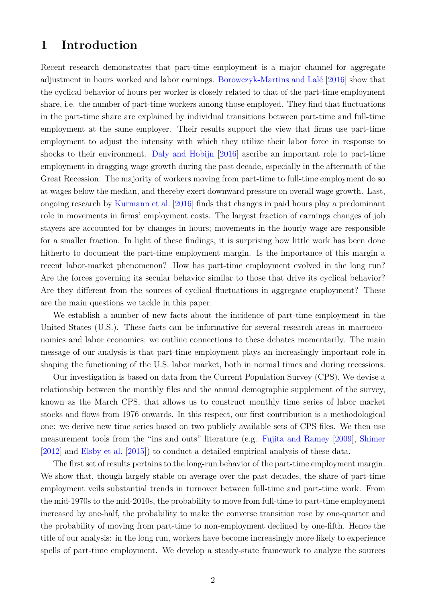# **1 Introduction**

Recent research demonstrates that part-time employment is a major channel for aggregate adjustment in hours worked and labor earnings. [Borowczyk-Martins and Lalé](#page-28-1) [\[2016\]](#page-28-1) show that the cyclical behavior of hours per worker is closely related to that of the part-time employment share, i.e. the number of part-time workers among those employed. They find that fluctuations in the part-time share are explained by individual transitions between part-time and full-time employment at the same employer. Their results support the view that firms use part-time employment to adjust the intensity with which they utilize their labor force in response to shocks to their environment. [Daly and Hobijn](#page-28-2) [\[2016\]](#page-28-2) ascribe an important role to part-time employment in dragging wage growth during the past decade, especially in the aftermath of the Great Recession. The majority of workers moving from part-time to full-time employment do so at wages below the median, and thereby exert downward pressure on overall wage growth. Last, ongoing research by [Kurmann et al.](#page-29-0) [\[2016\]](#page-29-0) finds that changes in paid hours play a predominant role in movements in firms' employment costs. The largest fraction of earnings changes of job stayers are accounted for by changes in hours; movements in the hourly wage are responsible for a smaller fraction. In light of these findings, it is surprising how little work has been done hitherto to document the part-time employment margin. Is the importance of this margin a recent labor-market phenomenon? How has part-time employment evolved in the long run? Are the forces governing its secular behavior similar to those that drive its cyclical behavior? Are they different from the sources of cyclical fluctuations in aggregate employment? These are the main questions we tackle in this paper.

We establish a number of new facts about the incidence of part-time employment in the United States (U.S.). These facts can be informative for several research areas in macroeconomics and labor economics; we outline connections to these debates momentarily. The main message of our analysis is that part-time employment plays an increasingly important role in shaping the functioning of the U.S. labor market, both in normal times and during recessions.

Our investigation is based on data from the Current Population Survey (CPS). We devise a relationship between the monthly files and the annual demographic supplement of the survey, known as the March CPS, that allows us to construct monthly time series of labor market stocks and flows from 1976 onwards. In this respect, our first contribution is a methodological one: we derive new time series based on two publicly available sets of CPS files. We then use measurement tools from the "ins and outs" literature (e.g. [Fujita and Ramey](#page-29-1) [\[2009\]](#page-29-1), [Shimer](#page-30-0) [\[2012\]](#page-30-0) and [Elsby et al.](#page-28-3) [\[2015\]](#page-28-3)) to conduct a detailed empirical analysis of these data.

The first set of results pertains to the long-run behavior of the part-time employment margin. We show that, though largely stable on average over the past decades, the share of part-time employment veils substantial trends in turnover between full-time and part-time work. From the mid-1970s to the mid-2010s, the probability to move from full-time to part-time employment increased by one-half, the probability to make the converse transition rose by one-quarter and the probability of moving from part-time to non-employment declined by one-fifth. Hence the title of our analysis: in the long run, workers have become increasingly more likely to experience spells of part-time employment. We develop a steady-state framework to analyze the sources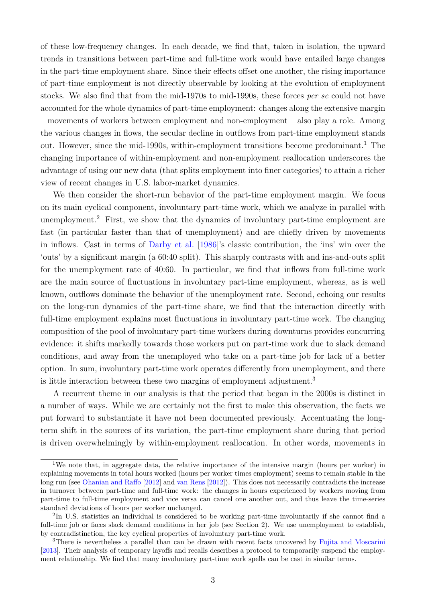of these low-frequency changes. In each decade, we find that, taken in isolation, the upward trends in transitions between part-time and full-time work would have entailed large changes in the part-time employment share. Since their effects offset one another, the rising importance of part-time employment is not directly observable by looking at the evolution of employment stocks. We also find that from the mid-1970s to mid-1990s, these forces *per se* could not have accounted for the whole dynamics of part-time employment: changes along the extensive margin – movements of workers between employment and non-employment – also play a role. Among the various changes in flows, the secular decline in outflows from part-time employment stands out. However, since the mid-[1](#page-0-0)990s, within-employment transitions become predominant.<sup>1</sup> The changing importance of within-employment and non-employment reallocation underscores the advantage of using our new data (that splits employment into finer categories) to attain a richer view of recent changes in U.S. labor-market dynamics.

We then consider the short-run behavior of the part-time employment margin. We focus on its main cyclical component, involuntary part-time work, which we analyze in parallel with unemployment.[2](#page-0-0) First, we show that the dynamics of involuntary part-time employment are fast (in particular faster than that of unemployment) and are chiefly driven by movements in inflows. Cast in terms of [Darby et al.](#page-28-4) [\[1986\]](#page-28-4)'s classic contribution, the 'ins' win over the 'outs' by a significant margin (a 60:40 split). This sharply contrasts with and ins-and-outs split for the unemployment rate of 40:60. In particular, we find that inflows from full-time work are the main source of fluctuations in involuntary part-time employment, whereas, as is well known, outflows dominate the behavior of the unemployment rate. Second, echoing our results on the long-run dynamics of the part-time share, we find that the interaction directly with full-time employment explains most fluctuations in involuntary part-time work. The changing composition of the pool of involuntary part-time workers during downturns provides concurring evidence: it shifts markedly towards those workers put on part-time work due to slack demand conditions, and away from the unemployed who take on a part-time job for lack of a better option. In sum, involuntary part-time work operates differently from unemployment, and there is little interaction between these two margins of employment adjustment.[3](#page-0-0)

A recurrent theme in our analysis is that the period that began in the 2000s is distinct in a number of ways. While we are certainly not the first to make this observation, the facts we put forward to substantiate it have not been documented previously. Accentuating the longterm shift in the sources of its variation, the part-time employment share during that period is driven overwhelmingly by within-employment reallocation. In other words, movements in

<sup>&</sup>lt;sup>1</sup>We note that, in aggregate data, the relative importance of the intensive margin (hours per worker) in explaining movements in total hours worked (hours per worker times employment) seems to remain stable in the long run (see [Ohanian and Raffo](#page-29-2) [\[2012\]](#page-29-2) and [van Rens](#page-30-1) [\[2012\]](#page-30-1)). This does not necessarily contradicts the increase in turnover between part-time and full-time work: the changes in hours experienced by workers moving from part-time to full-time employment and vice versa can cancel one another out, and thus leave the time-series standard deviations of hours per worker unchanged.

<sup>2</sup> In U.S. statistics an individual is considered to be working part-time involuntarily if she cannot find a full-time job or faces slack demand conditions in her job (see Section [2\)](#page-5-0). We use unemployment to establish, by contradistinction, the key cyclical properties of involuntary part-time work.

<sup>&</sup>lt;sup>3</sup>There is nevertheless a parallel than can be drawn with recent facts uncovered by [Fujita and Moscarini](#page-29-3) [\[2013\]](#page-29-3). Their analysis of temporary layoffs and recalls describes a protocol to temporarily suspend the employment relationship. We find that many involuntary part-time work spells can be cast in similar terms.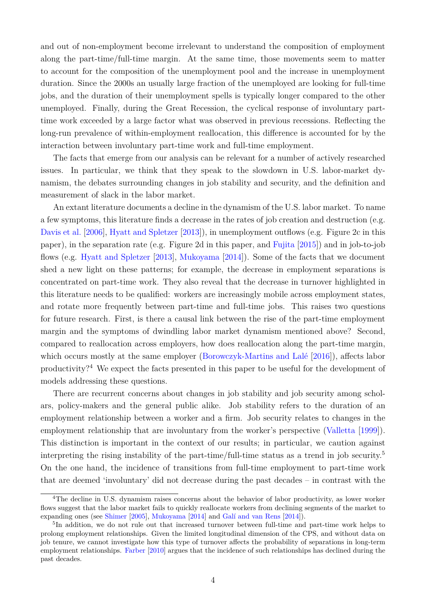and out of non-employment become irrelevant to understand the composition of employment along the part-time/full-time margin. At the same time, those movements seem to matter to account for the composition of the unemployment pool and the increase in unemployment duration. Since the 2000s an usually large fraction of the unemployed are looking for full-time jobs, and the duration of their unemployment spells is typically longer compared to the other unemployed. Finally, during the Great Recession, the cyclical response of involuntary parttime work exceeded by a large factor what was observed in previous recessions. Reflecting the long-run prevalence of within-employment reallocation, this difference is accounted for by the interaction between involuntary part-time work and full-time employment.

The facts that emerge from our analysis can be relevant for a number of actively researched issues. In particular, we think that they speak to the slowdown in U.S. labor-market dynamism, the debates surrounding changes in job stability and security, and the definition and measurement of slack in the labor market.

An extant literature documents a decline in the dynamism of the U.S. labor market. To name a few symptoms, this literature finds a decrease in the rates of job creation and destruction (e.g. [Davis et al.](#page-28-5) [\[2006\]](#page-28-5), [Hyatt and Spletzer](#page-29-4) [\[2013\]](#page-29-4)), in unemployment outflows (e.g. Figure [2c](#page-11-0) in this paper), in the separation rate (e.g. Figure [2d](#page-11-1) in this paper, and [Fujita](#page-29-5) [\[2015\]](#page-29-5)) and in job-to-job flows (e.g. [Hyatt and Spletzer](#page-29-4) [\[2013\]](#page-29-4), [Mukoyama](#page-29-6) [\[2014\]](#page-29-6)). Some of the facts that we document shed a new light on these patterns; for example, the decrease in employment separations is concentrated on part-time work. They also reveal that the decrease in turnover highlighted in this literature needs to be qualified: workers are increasingly mobile across employment states, and rotate more frequently between part-time and full-time jobs. This raises two questions for future research. First, is there a causal link between the rise of the part-time employment margin and the symptoms of dwindling labor market dynamism mentioned above? Second, compared to reallocation across employers, how does reallocation along the part-time margin, which occurs mostly at the same employer [\(Borowczyk-Martins and Lalé](#page-28-1) [\[2016\]](#page-28-1)), affects labor productivity?[4](#page-0-0) We expect the facts presented in this paper to be useful for the development of models addressing these questions.

There are recurrent concerns about changes in job stability and job security among scholars, policy-makers and the general public alike. Job stability refers to the duration of an employment relationship between a worker and a firm. Job security relates to changes in the employment relationship that are involuntary from the worker's perspective [\(Valletta](#page-30-2) [\[1999\]](#page-30-2)). This distinction is important in the context of our results; in particular, we caution against interpreting the rising instability of the part-time/full-time status as a trend in job security.[5](#page-0-0) On the one hand, the incidence of transitions from full-time employment to part-time work that are deemed 'involuntary' did not decrease during the past decades – in contrast with the

<sup>4</sup>The decline in U.S. dynamism raises concerns about the behavior of labor productivity, as lower worker flows suggest that the labor market fails to quickly reallocate workers from declining segments of the market to expanding ones (see [Shimer](#page-30-3) [\[2005\]](#page-30-3), [Mukoyama](#page-29-6) [\[2014\]](#page-29-6) and [Galí and van Rens](#page-29-7) [\[2014\]](#page-29-7)).

<sup>5</sup> In addition, we do not rule out that increased turnover between full-time and part-time work helps to prolong employment relationships. Given the limited longitudinal dimension of the CPS, and without data on job tenure, we cannot investigate how this type of turnover affects the probability of separations in long-term employment relationships. [Farber](#page-28-6) [\[2010\]](#page-28-6) argues that the incidence of such relationships has declined during the past decades.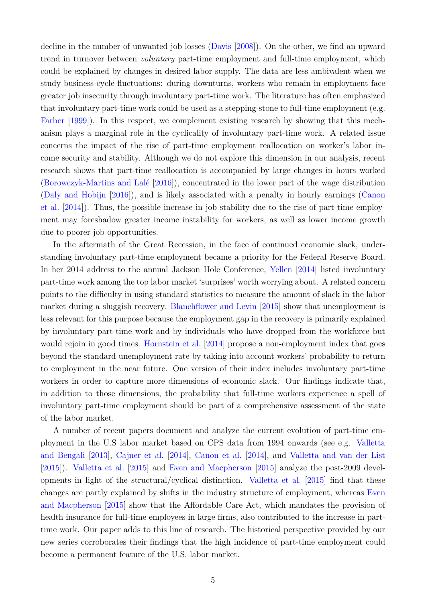decline in the number of unwanted job losses [\(Davis](#page-28-7) [\[2008\]](#page-28-7)). On the other, we find an upward trend in turnover between *voluntary* part-time employment and full-time employment, which could be explained by changes in desired labor supply. The data are less ambivalent when we study business-cycle fluctuations: during downturns, workers who remain in employment face greater job insecurity through involuntary part-time work. The literature has often emphasized that involuntary part-time work could be used as a stepping-stone to full-time employment (e.g. [Farber](#page-28-8)  $[1999]$ ). In this respect, we complement existing research by showing that this mechanism plays a marginal role in the cyclicality of involuntary part-time work. A related issue concerns the impact of the rise of part-time employment reallocation on worker's labor income security and stability. Although we do not explore this dimension in our analysis, recent research shows that part-time reallocation is accompanied by large changes in hours worked [\(Borowczyk-Martins and Lalé](#page-28-1) [\[2016\]](#page-28-1)), concentrated in the lower part of the wage distribution [\(Daly and Hobijn](#page-28-2) [\[2016\]](#page-28-2)), and is likely associated with a penalty in hourly earnings [\(Canon](#page-28-9) [et al.](#page-28-9) [\[2014\]](#page-28-9)). Thus, the possible increase in job stability due to the rise of part-time employment may foreshadow greater income instability for workers, as well as lower income growth due to poorer job opportunities.

In the aftermath of the Great Recession, in the face of continued economic slack, understanding involuntary part-time employment became a priority for the Federal Reserve Board. In her 2014 address to the annual Jackson Hole Conference, [Yellen](#page-30-4) [\[2014\]](#page-30-4) listed involuntary part-time work among the top labor market 'surprises' worth worrying about. A related concern points to the difficulty in using standard statistics to measure the amount of slack in the labor market during a sluggish recovery. [Blanchflower and Levin](#page-28-10) [\[2015\]](#page-28-10) show that unemployment is less relevant for this purpose because the employment gap in the recovery is primarily explained by involuntary part-time work and by individuals who have dropped from the workforce but would rejoin in good times. [Hornstein et al.](#page-29-8) [\[2014\]](#page-29-8) propose a non-employment index that goes beyond the standard unemployment rate by taking into account workers' probability to return to employment in the near future. One version of their index includes involuntary part-time workers in order to capture more dimensions of economic slack. Our findings indicate that, in addition to those dimensions, the probability that full-time workers experience a spell of involuntary part-time employment should be part of a comprehensive assessment of the state of the labor market.

A number of recent papers document and analyze the current evolution of part-time employment in the U.S labor market based on CPS data from 1994 onwards (see e.g. [Valletta](#page-30-5) [and Bengali](#page-30-5) [\[2013\]](#page-30-5), [Cajner et al.](#page-28-11) [\[2014\]](#page-28-11), [Canon et al.](#page-28-9) [\[2014\]](#page-28-9), and [Valletta and van der List](#page-30-6) [\[2015\]](#page-30-6)). [Valletta et al.](#page-30-7) [\[2015\]](#page-30-7) and [Even and Macpherson](#page-28-12) [\[2015\]](#page-28-12) analyze the post-2009 developments in light of the structural/cyclical distinction. [Valletta et al.](#page-30-7) [\[2015\]](#page-30-7) find that these changes are partly explained by shifts in the industry structure of employment, whereas [Even](#page-28-12) [and Macpherson](#page-28-12) [\[2015\]](#page-28-12) show that the Affordable Care Act, which mandates the provision of health insurance for full-time employees in large firms, also contributed to the increase in parttime work. Our paper adds to this line of research. The historical perspective provided by our new series corroborates their findings that the high incidence of part-time employment could become a permanent feature of the U.S. labor market.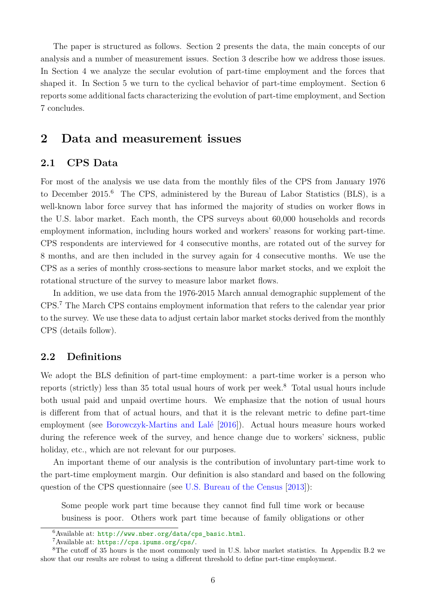The paper is structured as follows. Section [2](#page-5-0) presents the data, the main concepts of our analysis and a number of measurement issues. Section [3](#page-7-0) describe how we address those issues. In Section [4](#page-8-0) we analyze the secular evolution of part-time employment and the forces that shaped it. In Section [5](#page-16-0) we turn to the cyclical behavior of part-time employment. Section [6](#page-22-0) reports some additional facts characterizing the evolution of part-time employment, and Section [7](#page-26-0) concludes.

# <span id="page-5-0"></span>**2 Data and measurement issues**

## **2.1 CPS Data**

For most of the analysis we use data from the monthly files of the CPS from January 1976 to December 2015.[6](#page-0-0) The CPS, administered by the Bureau of Labor Statistics (BLS), is a well-known labor force survey that has informed the majority of studies on worker flows in the U.S. labor market. Each month, the CPS surveys about 60,000 households and records employment information, including hours worked and workers' reasons for working part-time. CPS respondents are interviewed for 4 consecutive months, are rotated out of the survey for 8 months, and are then included in the survey again for 4 consecutive months. We use the CPS as a series of monthly cross-sections to measure labor market stocks, and we exploit the rotational structure of the survey to measure labor market flows.

In addition, we use data from the 1976-2015 March annual demographic supplement of the CPS.[7](#page-0-0) The March CPS contains employment information that refers to the calendar year prior to the survey. We use these data to adjust certain labor market stocks derived from the monthly CPS (details follow).

## **2.2 Definitions**

We adopt the BLS definition of part-time employment: a part-time worker is a person who reports (strictly) less than 35 total usual hours of work per week.[8](#page-0-0) Total usual hours include both usual paid and unpaid overtime hours. We emphasize that the notion of usual hours is different from that of actual hours, and that it is the relevant metric to define part-time employment (see [Borowczyk-Martins and Lalé](#page-28-1) [\[2016\]](#page-28-1)). Actual hours measure hours worked during the reference week of the survey, and hence change due to workers' sickness, public holiday, etc., which are not relevant for our purposes.

An important theme of our analysis is the contribution of involuntary part-time work to the part-time employment margin. Our definition is also standard and based on the following question of the CPS questionnaire (see [U.S. Bureau of the Census](#page-30-8) [\[2013\]](#page-30-8)):

Some people work part time because they cannot find full time work or because business is poor. Others work part time because of family obligations or other

 $6$ Available at: [http://www.nber.org/data/cps\\_basic.html](http://www.nber.org/data/cps_basic.html).

<sup>7</sup>Available at: <https://cps.ipums.org/cps/>.

<sup>&</sup>lt;sup>8</sup>The cutoff of 35 hours is the most commonly used in U.S. labor market statistics. In Appendix [B.2](#page-41-0) we show that our results are robust to using a different threshold to define part-time employment.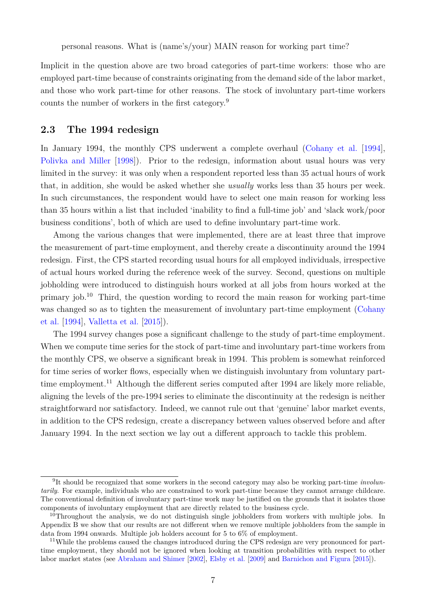personal reasons. What is (name's/your) MAIN reason for working part time?

Implicit in the question above are two broad categories of part-time workers: those who are employed part-time because of constraints originating from the demand side of the labor market, and those who work part-time for other reasons. The stock of involuntary part-time workers counts the number of workers in the first category.[9](#page-0-0)

#### **2.3 The 1994 redesign**

In January 1994, the monthly CPS underwent a complete overhaul [\(Cohany et al.](#page-28-13) [\[1994\]](#page-28-13), [Polivka and Miller](#page-29-9) [\[1998\]](#page-29-9)). Prior to the redesign, information about usual hours was very limited in the survey: it was only when a respondent reported less than 35 actual hours of work that, in addition, she would be asked whether she *usually* works less than 35 hours per week. In such circumstances, the respondent would have to select one main reason for working less than 35 hours within a list that included 'inability to find a full-time job' and 'slack work/poor business conditions', both of which are used to define involuntary part-time work.

Among the various changes that were implemented, there are at least three that improve the measurement of part-time employment, and thereby create a discontinuity around the 1994 redesign. First, the CPS started recording usual hours for all employed individuals, irrespective of actual hours worked during the reference week of the survey. Second, questions on multiple jobholding were introduced to distinguish hours worked at all jobs from hours worked at the primary job.[10](#page-0-0) Third, the question wording to record the main reason for working part-time was changed so as to tighten the measurement of involuntary part-time employment [\(Cohany](#page-28-13) [et al.](#page-28-13) [\[1994\]](#page-28-13), [Valletta et al.](#page-30-7) [\[2015\]](#page-30-7)).

The 1994 survey changes pose a significant challenge to the study of part-time employment. When we compute time series for the stock of part-time and involuntary part-time workers from the monthly CPS, we observe a significant break in 1994. This problem is somewhat reinforced for time series of worker flows, especially when we distinguish involuntary from voluntary part-time employment.<sup>[11](#page-0-0)</sup> Although the different series computed after 1994 are likely more reliable, aligning the levels of the pre-1994 series to eliminate the discontinuity at the redesign is neither straightforward nor satisfactory. Indeed, we cannot rule out that 'genuine' labor market events, in addition to the CPS redesign, create a discrepancy between values observed before and after January 1994. In the next section we lay out a different approach to tackle this problem.

<sup>9</sup> It should be recognized that some workers in the second category may also be working part-time *involuntarily*. For example, individuals who are constrained to work part-time because they cannot arrange childcare. The conventional definition of involuntary part-time work may be justified on the grounds that it isolates those components of involuntary employment that are directly related to the business cycle.

<sup>&</sup>lt;sup>10</sup>Throughout the analysis, we do not distinguish single jobholders from workers with multiple jobs. In Appendix [B](#page-35-0) we show that our results are not different when we remove multiple jobholders from the sample in data from 1994 onwards. Multiple job holders account for 5 to 6% of employment.

<sup>&</sup>lt;sup>11</sup>While the problems caused the changes introduced during the CPS redesign are very pronounced for parttime employment, they should not be ignored when looking at transition probabilities with respect to other labor market states (see [Abraham and Shimer](#page-27-0) [\[2002\]](#page-27-0), [Elsby et al.](#page-28-14) [\[2009\]](#page-28-14) and [Barnichon and Figura](#page-27-1) [\[2015\]](#page-27-1)).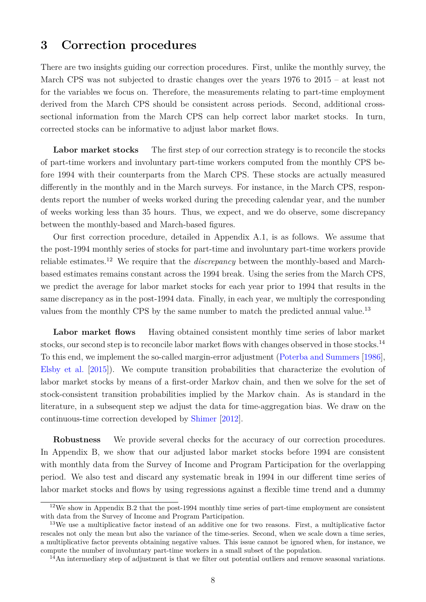# <span id="page-7-0"></span>**3 Correction procedures**

There are two insights guiding our correction procedures. First, unlike the monthly survey, the March CPS was not subjected to drastic changes over the years 1976 to 2015 – at least not for the variables we focus on. Therefore, the measurements relating to part-time employment derived from the March CPS should be consistent across periods. Second, additional crosssectional information from the March CPS can help correct labor market stocks. In turn, corrected stocks can be informative to adjust labor market flows.

Labor market stocks The first step of our correction strategy is to reconcile the stocks of part-time workers and involuntary part-time workers computed from the monthly CPS before 1994 with their counterparts from the March CPS. These stocks are actually measured differently in the monthly and in the March surveys. For instance, in the March CPS, respondents report the number of weeks worked during the preceding calendar year, and the number of weeks working less than 35 hours. Thus, we expect, and we do observe, some discrepancy between the monthly-based and March-based figures.

Our first correction procedure, detailed in Appendix [A.1,](#page-31-0) is as follows. We assume that the post-1994 monthly series of stocks for part-time and involuntary part-time workers provide reliable estimates.[12](#page-0-0) We require that the *discrepancy* between the monthly-based and Marchbased estimates remains constant across the 1994 break. Using the series from the March CPS, we predict the average for labor market stocks for each year prior to 1994 that results in the same discrepancy as in the post-1994 data. Finally, in each year, we multiply the corresponding values from the monthly CPS by the same number to match the predicted annual value.<sup>[13](#page-0-0)</sup>

**Labor market flows** Having obtained consistent monthly time series of labor market stocks, our second step is to reconcile labor market flows with changes observed in those stocks.<sup>[14](#page-0-0)</sup> To this end, we implement the so-called margin-error adjustment [\(Poterba and Summers](#page-29-10) [\[1986\]](#page-29-10), [Elsby et al.](#page-28-3) [\[2015\]](#page-28-3)). We compute transition probabilities that characterize the evolution of labor market stocks by means of a first-order Markov chain, and then we solve for the set of stock-consistent transition probabilities implied by the Markov chain. As is standard in the literature, in a subsequent step we adjust the data for time-aggregation bias. We draw on the continuous-time correction developed by [Shimer](#page-30-0) [\[2012\]](#page-30-0).

**Robustness** We provide several checks for the accuracy of our correction procedures. In Appendix [B,](#page-35-0) we show that our adjusted labor market stocks before 1994 are consistent with monthly data from the Survey of Income and Program Participation for the overlapping period. We also test and discard any systematic break in 1994 in our different time series of labor market stocks and flows by using regressions against a flexible time trend and a dummy

<sup>12</sup>We show in Appendix [B.2](#page-41-0) that the post-1994 monthly time series of part-time employment are consistent with data from the Survey of Income and Program Participation.

<sup>13</sup>We use a multiplicative factor instead of an additive one for two reasons. First, a multiplicative factor rescales not only the mean but also the variance of the time-series. Second, when we scale down a time series, a multiplicative factor prevents obtaining negative values. This issue cannot be ignored when, for instance, we compute the number of involuntary part-time workers in a small subset of the population.

<sup>&</sup>lt;sup>14</sup>An intermediary step of adjustment is that we filter out potential outliers and remove seasonal variations.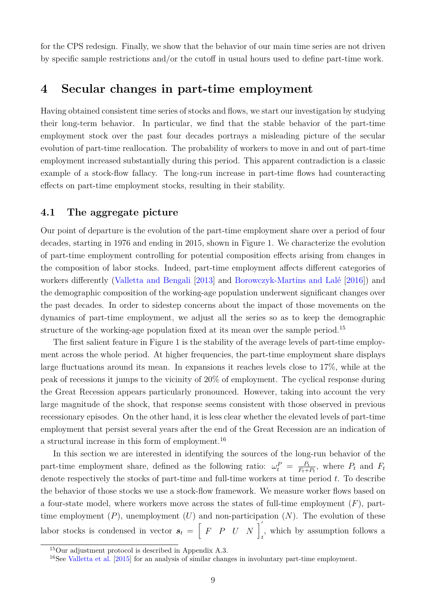for the CPS redesign. Finally, we show that the behavior of our main time series are not driven by specific sample restrictions and/or the cutoff in usual hours used to define part-time work.

# <span id="page-8-0"></span>**4 Secular changes in part-time employment**

Having obtained consistent time series of stocks and flows, we start our investigation by studying their long-term behavior. In particular, we find that the stable behavior of the part-time employment stock over the past four decades portrays a misleading picture of the secular evolution of part-time reallocation. The probability of workers to move in and out of part-time employment increased substantially during this period. This apparent contradiction is a classic example of a stock-flow fallacy. The long-run increase in part-time flows had counteracting effects on part-time employment stocks, resulting in their stability.

## **4.1 The aggregate picture**

Our point of departure is the evolution of the part-time employment share over a period of four decades, starting in 1976 and ending in 2015, shown in Figure [1.](#page-9-0) We characterize the evolution of part-time employment controlling for potential composition effects arising from changes in the composition of labor stocks. Indeed, part-time employment affects different categories of workers differently [\(Valletta and Bengali](#page-30-5) [\[2013\]](#page-30-5) and [Borowczyk-Martins and Lalé](#page-28-1) [\[2016\]](#page-28-1)) and the demographic composition of the working-age population underwent significant changes over the past decades. In order to sidestep concerns about the impact of those movements on the dynamics of part-time employment, we adjust all the series so as to keep the demographic structure of the working-age population fixed at its mean over the sample period.<sup>[15](#page-0-0)</sup>

The first salient feature in Figure [1](#page-9-0) is the stability of the average levels of part-time employment across the whole period. At higher frequencies, the part-time employment share displays large fluctuations around its mean. In expansions it reaches levels close to 17%, while at the peak of recessions it jumps to the vicinity of 20% of employment. The cyclical response during the Great Recession appears particularly pronounced. However, taking into account the very large magnitude of the shock, that response seems consistent with those observed in previous recessionary episodes. On the other hand, it is less clear whether the elevated levels of part-time employment that persist several years after the end of the Great Recession are an indication of a structural increase in this form of employment.[16](#page-0-0)

In this section we are interested in identifying the sources of the long-run behavior of the part-time employment share, defined as the following ratio:  $\omega_t^P = \frac{P_t}{F_t + P_t}$  $\frac{P_t}{F_t+P_t}$ , where  $P_t$  and  $F_t$ denote respectively the stocks of part-time and full-time workers at time period  $t$ . To describe the behavior of those stocks we use a stock-flow framework. We measure worker flows based on a four-state model, where workers move across the states of full-time employment  $(F)$ , parttime employment  $(P)$ , unemployment  $(U)$  and non-participation  $(N)$ . The evolution of these labor stocks is condensed in vector  $s_t = \begin{bmatrix} F & P & U & N \end{bmatrix}_t$ , which by assumption follows a

<sup>15</sup>Our adjustment protocol is described in Appendix [A.3.](#page-33-0)

<sup>16</sup>See [Valletta et al.](#page-30-7) [\[2015\]](#page-30-7) for an analysis of similar changes in involuntary part-time employment.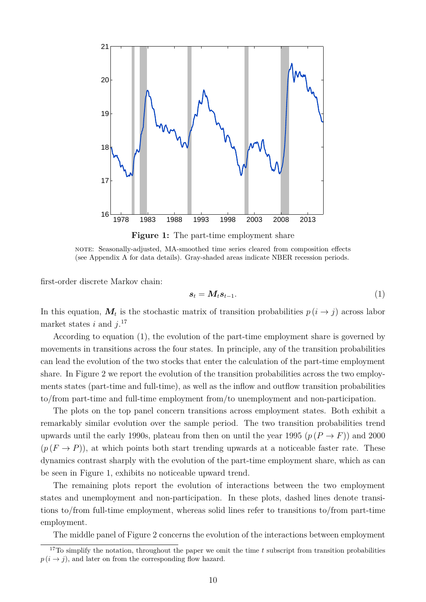<span id="page-9-0"></span>

**Figure 1:** The part-time employment share

note: Seasonally-adjusted, MA-smoothed time series cleared from composition effects (see Appendix [A](#page-31-1) for data details). Gray-shaded areas indicate NBER recession periods.

first-order discrete Markov chain:

<span id="page-9-1"></span>
$$
s_t = M_t s_{t-1}.\tag{1}
$$

In this equation,  $M_t$  is the stochastic matrix of transition probabilities  $p(i \rightarrow j)$  across labor market states i and  $j$ <sup>[17](#page-0-0)</sup>

According to equation [\(1\)](#page-9-1), the evolution of the part-time employment share is governed by movements in transitions across the four states. In principle, any of the transition probabilities can lead the evolution of the two stocks that enter the calculation of the part-time employment share. In Figure [2](#page-11-2) we report the evolution of the transition probabilities across the two employments states (part-time and full-time), as well as the inflow and outflow transition probabilities to/from part-time and full-time employment from/to unemployment and non-participation.

The plots on the top panel concern transitions across employment states. Both exhibit a remarkably similar evolution over the sample period. The two transition probabilities trend upwards until the early 1990s, plateau from then on until the year 1995  $(p (P \rightarrow F))$  and 2000  $(p(F \rightarrow P))$ , at which points both start trending upwards at a noticeable faster rate. These dynamics contrast sharply with the evolution of the part-time employment share, which as can be seen in Figure [1,](#page-9-0) exhibits no noticeable upward trend.

The remaining plots report the evolution of interactions between the two employment states and unemployment and non-participation. In these plots, dashed lines denote transitions to/from full-time employment, whereas solid lines refer to transitions to/from part-time employment.

The middle panel of Figure [2](#page-11-2) concerns the evolution of the interactions between employment

<sup>&</sup>lt;sup>17</sup>To simplify the notation, throughout the paper we omit the time t subscript from transition probabilities  $p(i \rightarrow j)$ , and later on from the corresponding flow hazard.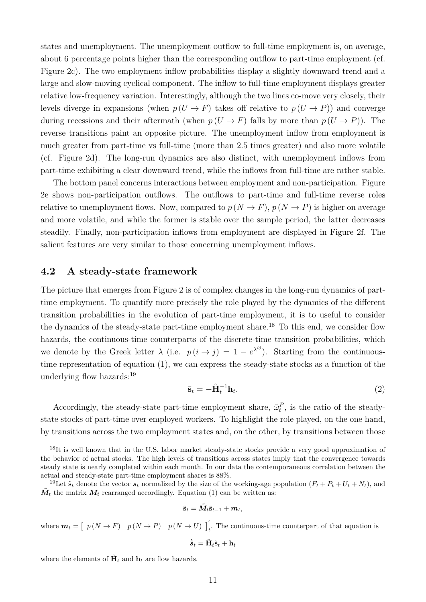states and unemployment. The unemployment outflow to full-time employment is, on average, about 6 percentage points higher than the corresponding outflow to part-time employment (cf. Figure [2c\)](#page-11-0). The two employment inflow probabilities display a slightly downward trend and a large and slow-moving cyclical component. The inflow to full-time employment displays greater relative low-frequency variation. Interestingly, although the two lines co-move very closely, their levels diverge in expansions (when  $p(U \to F)$  takes off relative to  $p(U \to P)$ ) and converge during recessions and their aftermath (when  $p(U \to F)$  falls by more than  $p(U \to P)$ ). The reverse transitions paint an opposite picture. The unemployment inflow from employment is much greater from part-time vs full-time (more than 2.5 times greater) and also more volatile (cf. Figure [2d\)](#page-11-1). The long-run dynamics are also distinct, with unemployment inflows from part-time exhibiting a clear downward trend, while the inflows from full-time are rather stable.

The bottom panel concerns interactions between employment and non-participation. Figure [2e](#page-11-3) shows non-participation outflows. The outflows to part-time and full-time reverse roles relative to unemployment flows. Now, compared to  $p (N \rightarrow F)$ ,  $p (N \rightarrow P)$  is higher on average and more volatile, and while the former is stable over the sample period, the latter decreases steadily. Finally, non-participation inflows from employment are displayed in Figure [2f.](#page-11-4) The salient features are very similar to those concerning unemployment inflows.

#### **4.2 A steady-state framework**

The picture that emerges from Figure [2](#page-11-2) is of complex changes in the long-run dynamics of parttime employment. To quantify more precisely the role played by the dynamics of the different transition probabilities in the evolution of part-time employment, it is to useful to consider the dynamics of the steady-state part-time employment share.<sup>[18](#page-0-0)</sup> To this end, we consider flow hazards, the continuous-time counterparts of the discrete-time transition probabilities, which we denote by the Greek letter  $\lambda$  (i.e.  $p(i \rightarrow j) = 1 - e^{\lambda^{ij}}$ ). Starting from the continuoustime representation of equation [\(1\)](#page-9-1), we can express the steady-state stocks as a function of the underlying flow hazards:[19](#page-0-0)

<span id="page-10-0"></span>
$$
\bar{\mathbf{s}}_t = -\tilde{\mathbf{H}}_t^{-1} \mathbf{h}_t. \tag{2}
$$

Accordingly, the steady-state part-time employment share,  $\bar{\omega}_t^P$ , is the ratio of the steadystate stocks of part-time over employed workers. To highlight the role played, on the one hand, by transitions across the two employment states and, on the other, by transitions between those

$$
\tilde{\textbf{s}}_t = \tilde{\bm{M}}_t \tilde{\textbf{s}}_{t-1} + \bm{m}_t,
$$

where  $m_t = \begin{bmatrix} p(N \to F) & p(N \to P) & p(N \to U) \end{bmatrix}_t$ . The continuous-time counterpart of that equation is

$$
\dot{\tilde{\textbf{s}}}_t = \tilde{\textbf{H}}_t \tilde{\textbf{s}}_t + \textbf{h}_t
$$

where the elements of  $\tilde{\mathbf{H}}_t$  and  $\mathbf{h}_t$  are flow hazards.

 $18$ It is well known that in the U.S. labor market steady-state stocks provide a very good approximation of the behavior of actual stocks. The high levels of transitions across states imply that the convergence towards steady state is nearly completed within each month. In our data the contemporaneous correlation between the actual and steady-state part-time employment shares is 88%.

<sup>&</sup>lt;sup>19</sup>Let  $\tilde{\mathbf{s}}_t$  denote the vector  $s_t$  normalized by the size of the working-age population  $(F_t + P_t + U_t + N_t)$ , and  $\tilde{M}_t$  the matrix  $M_t$  rearranged accordingly. Equation [\(1\)](#page-9-1) can be written as: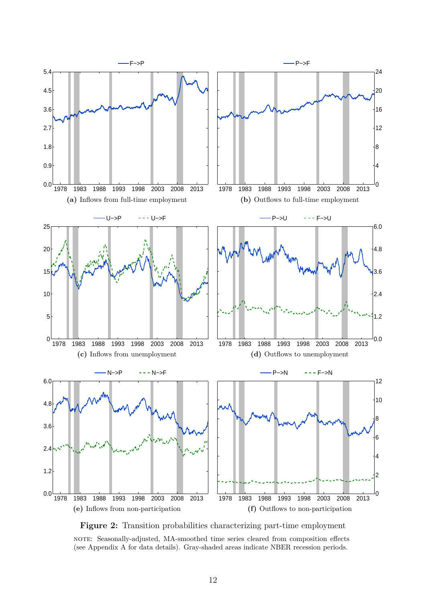<span id="page-11-2"></span><span id="page-11-0"></span>

<span id="page-11-4"></span><span id="page-11-3"></span><span id="page-11-1"></span>**Figure 2:** Transition probabilities characterizing part-time employment

note: Seasonally-adjusted, MA-smoothed time series cleared from composition effects (see Appendix [A](#page-31-1) for data details). Gray-shaded areas indicate NBER recession periods.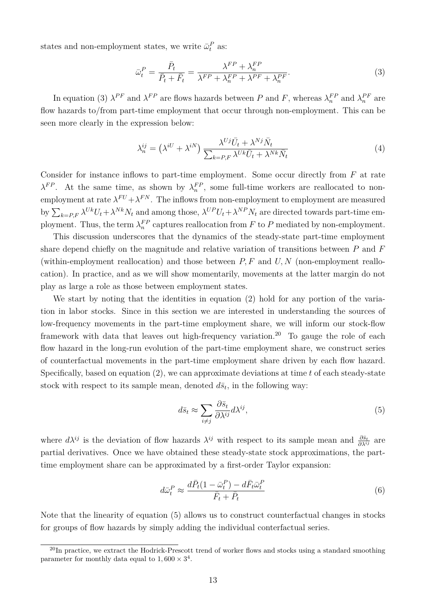states and non-employment states, we write  $\bar{\omega}_t^P$  as:

<span id="page-12-0"></span>
$$
\bar{\omega}_t^P = \frac{\bar{P}_t}{\bar{P}_t + \bar{F}_t} = \frac{\lambda^{FP} + \lambda_n^{FP}}{\lambda^{FP} + \lambda_n^{FP} + \lambda_r^{PF} + \lambda_n^{PF}}.\tag{3}
$$

In equation [\(3\)](#page-12-0)  $\lambda^{PF}$  and  $\lambda^{FP}$  are flows hazards between P and F, whereas  $\lambda_n^{FP}$  and  $\lambda_n^{PF}$  are flow hazards to/from part-time employment that occur through non-employment. This can be seen more clearly in the expression below:

$$
\lambda_n^{ij} = \left(\lambda^{iU} + \lambda^{iN}\right) \frac{\lambda^{Uj} \bar{U}_t + \lambda^{Nj} \bar{N}_t}{\sum_{k=P, F} \lambda^{Uk} \bar{U}_t + \lambda^{Nk} \bar{N}_t}
$$
\n<sup>(4)</sup>

Consider for instance inflows to part-time employment. Some occur directly from  $F$  at rate  $\lambda^{FP}$ . At the same time, as shown by  $\lambda_n^{FP}$ , some full-time workers are reallocated to nonemployment at rate  $\lambda^{FU} + \lambda^{FN}$ . The inflows from non-employment to employment are measured by  $\sum_{k=P,F} \lambda^{Uk} U_t + \lambda^{Nk} N_t$  and among those,  $\lambda^{UP} U_t + \lambda^{NP} N_t$  are directed towards part-time employment. Thus, the term  $\lambda_n^{FP}$  captures reallocation from F to P mediated by non-employment.

This discussion underscores that the dynamics of the steady-state part-time employment share depend chiefly on the magnitude and relative variation of transitions between  $P$  and  $F$ (within-employment reallocation) and those between  $P, F$  and  $U, N$  (non-employment reallocation). In practice, and as we will show momentarily, movements at the latter margin do not play as large a role as those between employment states.

We start by noting that the identities in equation [\(2\)](#page-10-0) hold for any portion of the variation in labor stocks. Since in this section we are interested in understanding the sources of low-frequency movements in the part-time employment share, we will inform our stock-flow framework with data that leaves out high-frequency variation.<sup>[20](#page-0-0)</sup> To gauge the role of each flow hazard in the long-run evolution of the part-time employment share, we construct series of counterfactual movements in the part-time employment share driven by each flow hazard. Specifically, based on equation  $(2)$ , we can approximate deviations at time t of each steady-state stock with respect to its sample mean, denoted  $d\bar{s}_t$ , in the following way:

<span id="page-12-1"></span>
$$
d\bar{s}_t \approx \sum_{i \neq j} \frac{\partial \bar{s}_t}{\partial \lambda^{ij}} d\lambda^{ij},\tag{5}
$$

where  $d\lambda^{ij}$  is the deviation of flow hazards  $\lambda^{ij}$  with respect to its sample mean and  $\frac{\partial \bar{s}_t}{\partial \lambda^{ij}}$  are partial derivatives. Once we have obtained these steady-state stock approximations, the parttime employment share can be approximated by a first-order Taylor expansion:

<span id="page-12-2"></span>
$$
d\bar{\omega}_t^P \approx \frac{d\bar{P}_t(1 - \bar{\omega}_t^P) - d\bar{F}_t \bar{\omega}_t^P}{\bar{F}_t + \bar{P}_t} \tag{6}
$$

Note that the linearity of equation [\(5\)](#page-12-1) allows us to construct counterfactual changes in stocks for groups of flow hazards by simply adding the individual conterfactual series.

 $^{20}$ In practice, we extract the Hodrick-Prescott trend of worker flows and stocks using a standard smoothing parameter for monthly data equal to  $1,600 \times 3^4$ .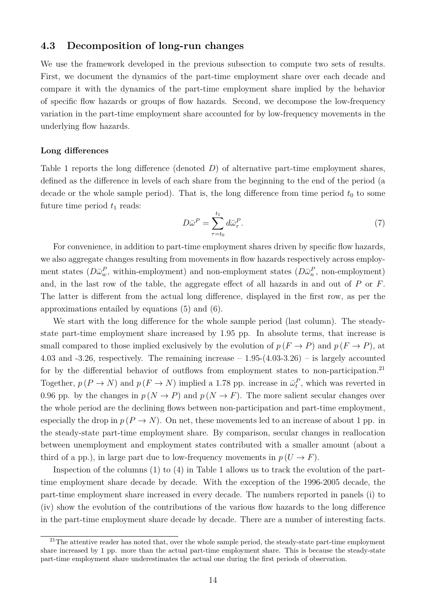## **4.3 Decomposition of long-run changes**

We use the framework developed in the previous subsection to compute two sets of results. First, we document the dynamics of the part-time employment share over each decade and compare it with the dynamics of the part-time employment share implied by the behavior of specific flow hazards or groups of flow hazards. Second, we decompose the low-frequency variation in the part-time employment share accounted for by low-frequency movements in the underlying flow hazards.

#### **Long differences**

Table [1](#page-14-0) reports the long difference (denoted  $D$ ) of alternative part-time employment shares, defined as the difference in levels of each share from the beginning to the end of the period (a decade or the whole sample period). That is, the long difference from time period  $t_0$  to some future time period  $t_1$  reads:

$$
D\bar{\omega}^P = \sum_{\tau=t_0}^{t_1} d\bar{\omega}_{\tau}^P. \tag{7}
$$

For convenience, in addition to part-time employment shares driven by specific flow hazards, we also aggregate changes resulting from movements in flow hazards respectively across employment states  $(D\bar{\omega}_w^P$ , within-employment) and non-employment states  $(D\bar{\omega}_n^P$ , non-employment) and, in the last row of the table, the aggregate effect of all hazards in and out of P or F. The latter is different from the actual long difference, displayed in the first row, as per the approximations entailed by equations [\(5\)](#page-12-1) and [\(6\)](#page-12-2).

We start with the long difference for the whole sample period (last column). The steadystate part-time employment share increased by 1.95 pp. In absolute terms, that increase is small compared to those implied exclusively by the evolution of  $p(F \to P)$  and  $p(F \to P)$ , at 4.03 and  $-3.26$ , respectively. The remaining increase  $-1.95-(4.03-3.26)$  – is largely accounted for by the differential behavior of outflows from employment states to non-participation.<sup>[21](#page-0-0)</sup> Together,  $p(P \to N)$  and  $p(F \to N)$  implied a 1.78 pp. increase in  $\bar{\omega}_t^P$ , which was reverted in 0.96 pp. by the changes in  $p (N \rightarrow P)$  and  $p (N \rightarrow F)$ . The more salient secular changes over the whole period are the declining flows between non-participation and part-time employment, especially the drop in  $p(P \to N)$ . On net, these movements led to an increase of about 1 pp. in the steady-state part-time employment share. By comparison, secular changes in reallocation between unemployment and employment states contributed with a smaller amount (about a third of a pp.), in large part due to low-frequency movements in  $p(U \to F)$ .

Inspection of the columns (1) to (4) in Table [1](#page-14-0) allows us to track the evolution of the parttime employment share decade by decade. With the exception of the 1996-2005 decade, the part-time employment share increased in every decade. The numbers reported in panels (i) to (iv) show the evolution of the contributions of the various flow hazards to the long difference in the part-time employment share decade by decade. There are a number of interesting facts.

 $^{21}$ The attentive reader has noted that, over the whole sample period, the steady-state part-time employment share increased by 1 pp. more than the actual part-time employment share. This is because the steady-state part-time employment share underestimates the actual one during the first periods of observation.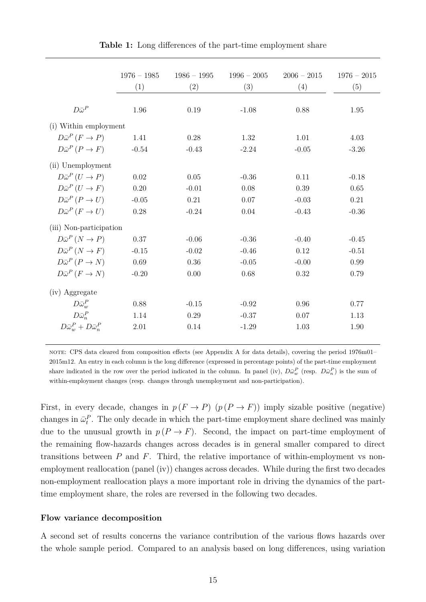<span id="page-14-0"></span>

|                                         | $1976 - 1985$ | $1986 - 1995$ | $1996 - 2005$ | $2006 - 2015$ | $1976 - 2015$ |
|-----------------------------------------|---------------|---------------|---------------|---------------|---------------|
|                                         | (1)           | (2)           | (3)           | (4)           | (5)           |
|                                         |               |               |               |               |               |
| $D\bar{\omega}^P$                       | 1.96          | 0.19          | $-1.08$       | 0.88          | 1.95          |
| (i) Within employment                   |               |               |               |               |               |
| $D\bar{\omega}^P(F\to P)$               | 1.41          | 0.28          | 1.32          | 1.01          | 4.03          |
| $D\bar{\omega}^P(P\to F)$               | $-0.54$       | $-0.43$       | $-2.24$       | $-0.05$       | $-3.26$       |
| (ii) Unemployment                       |               |               |               |               |               |
| $D\bar{\omega}^P(U \to P)$              | 0.02          | 0.05          | $-0.36$       | 0.11          | $-0.18$       |
| $D\bar{\omega}^P(U \to F)$              | 0.20          | $-0.01$       | 0.08          | 0.39          | 0.65          |
| $D\bar{\omega}^P(P\to U)$               | $-0.05$       | 0.21          | 0.07          | $-0.03$       | 0.21          |
| $D\bar{\omega}^P(F\to U)$               | 0.28          | $-0.24$       | 0.04          | $-0.43$       | $-0.36$       |
| (iii) Non-participation                 |               |               |               |               |               |
| $D\bar{\omega}^P (N \to P)$             | 0.37          | $-0.06$       | $-0.36$       | $-0.40$       | $-0.45$       |
| $D\bar{\omega}^P(N \to F)$              | $-0.15$       | $-0.02$       | $-0.46$       | 0.12          | $-0.51$       |
| $D\bar{\omega}^P(P\to N)$               | 0.69          | $0.36\,$      | $-0.05$       | $-0.00$       | 0.99          |
| $D\bar{\omega}^P(F\to N)$               | $-0.20$       | 0.00          | 0.68          | 0.32          | 0.79          |
| (iv) Aggregate                          |               |               |               |               |               |
| $D\bar{\omega}_w^P$                     | 0.88          | $-0.15$       | $-0.92$       | 0.96          | 0.77          |
| $D\bar{\omega}_n^P$                     | 1.14          | 0.29          | $-0.37$       | 0.07          | 1.13          |
| $D\bar{\omega}_m^P + D\bar{\omega}_n^P$ | 2.01          | 0.14          | $-1.29$       | 1.03          | 1.90          |

**Table 1:** Long differences of the part-time employment share

note: CPS data cleared from composition effects (see Appendix [A](#page-31-1) for data details), covering the period 1976m01– 2015m12. An entry in each column is the long difference (expressed in percentage points) of the part-time employment share indicated in the row over the period indicated in the column. In panel (iv),  $D\bar{\omega}_w^P$  (resp.  $D\bar{\omega}_n^P$ ) is the sum of within-employment changes (resp. changes through unemployment and non-participation).

First, in every decade, changes in  $p(F \to P)$   $(p(P \to F))$  imply sizable positive (negative) changes in  $\bar{\omega}_t^P$ . The only decade in which the part-time employment share declined was mainly due to the unusual growth in  $p(P \to F)$ . Second, the impact on part-time employment of the remaining flow-hazards changes across decades is in general smaller compared to direct transitions between  $P$  and  $F$ . Third, the relative importance of within-employment vs nonemployment reallocation (panel (iv)) changes across decades. While during the first two decades non-employment reallocation plays a more important role in driving the dynamics of the parttime employment share, the roles are reversed in the following two decades.

#### **Flow variance decomposition**

A second set of results concerns the variance contribution of the various flows hazards over the whole sample period. Compared to an analysis based on long differences, using variation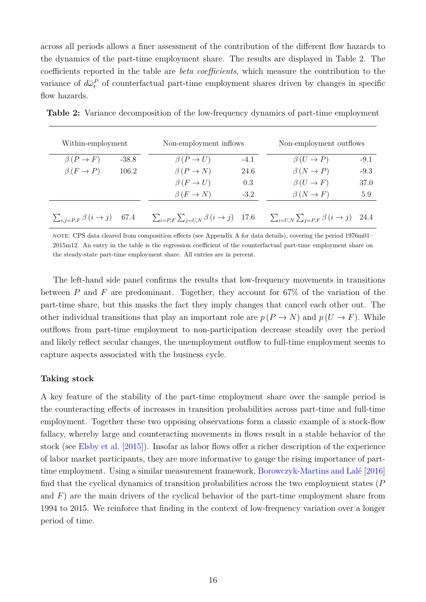across all periods allows a finer assessment of the contribution of the different flow hazards to the dynamics of the part-time employment share. The results are displayed in Table [2.](#page-15-0) The coefficients reported in the table are *beta coefficients*, which measure the contribution to the variance of  $d\bar{\omega}_t^P$  of counterfactual part-time employment shares driven by changes in specific flow hazards.

| Within-employment                       |         | Non-employment inflows                          | Non-employment outflows |                                                       |        |
|-----------------------------------------|---------|-------------------------------------------------|-------------------------|-------------------------------------------------------|--------|
| $\beta(P \to F)$                        | $-38.8$ | $\beta(P \to U)$                                | $-4.1$                  | $\beta(U \to P)$                                      | $-9.1$ |
| $\beta(F \to P)$                        | 106.2   | $\beta(P \to N)$                                | 24.6                    | $\beta(N \to P)$                                      | $-9.3$ |
|                                         |         | $\beta(F \to U)$                                | 0.3                     | $\beta(U \to F)$                                      | 37.0   |
|                                         |         | $\beta(F \to N)$                                | $-3.2$                  | $\beta(N \to F)$                                      | 5.9    |
| $\sum_{i,j=P,F} \beta(i \rightarrow j)$ | 67.4    | $\sum_{i=P,F}\sum_{j=U,N}\beta(i\rightarrow j)$ | - 17.6                  | $\sum_{i=U,N}\sum_{j=P,F}\beta(i \rightarrow j)$ 24.4 |        |

<span id="page-15-0"></span>**Table 2:** Variance decomposition of the low-frequency dynamics of part-time employment

note: CPS data cleared from composition effects (see Appendix [A](#page-31-1) for data details), covering the period 1976m01– 2015m12. An entry in the table is the regression coefficient of the counterfactual part-time employment share on the steady-state part-time employment share. All entries are in percent.

The left-hand side panel confirms the results that low-frequency movements in transitions between  $P$  and  $F$  are predominant. Together, they account for 67% of the variation of the part-time share, but this masks the fact they imply changes that cancel each other out. The other individual transitions that play an important role are  $p(P \to N)$  and  $p(U \to F)$ . While outflows from part-time employment to non-participation decrease steadily over the period and likely reflect secular changes, the unemployment outflow to full-time employment seems to capture aspects associated with the business cycle.

#### **Taking stock**

A key feature of the stability of the part-time employment share over the sample period is the counteracting effects of increases in transition probabilities across part-time and full-time employment. Together these two opposing observations form a classic example of a stock-flow fallacy, whereby large and counteracting movements in flows result in a stable behavior of the stock (see [Elsby et al.](#page-28-3) [\[2015\]](#page-28-3)). Insofar as labor flows offer a richer description of the experience of labor market participants, they are more informative to gauge the rising importance of parttime employment. Using a similar measurement framework, [Borowczyk-Martins and Lalé](#page-28-1) [\[2016\]](#page-28-1) find that the cyclical dynamics of transition probabilities across the two employment states (P and  $F$ ) are the main drivers of the cyclical behavior of the part-time employment share from 1994 to 2015. We reinforce that finding in the context of low-frequency variation over a longer period of time.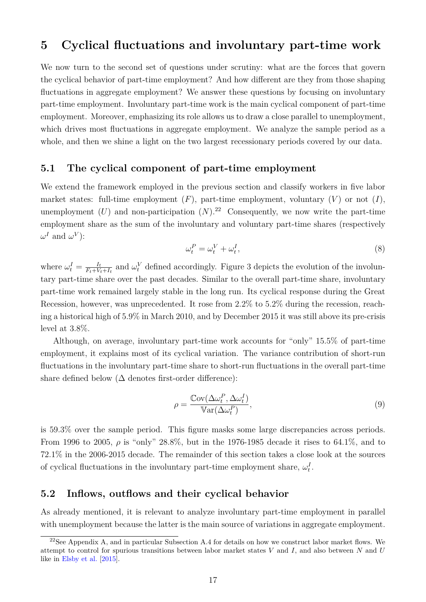# <span id="page-16-0"></span>**5 Cyclical fluctuations and involuntary part-time work**

We now turn to the second set of questions under scrutiny: what are the forces that govern the cyclical behavior of part-time employment? And how different are they from those shaping fluctuations in aggregate employment? We answer these questions by focusing on involuntary part-time employment. Involuntary part-time work is the main cyclical component of part-time employment. Moreover, emphasizing its role allows us to draw a close parallel to unemployment, which drives most fluctuations in aggregate employment. We analyze the sample period as a whole, and then we shine a light on the two largest recessionary periods covered by our data.

## **5.1 The cyclical component of part-time employment**

We extend the framework employed in the previous section and classify workers in five labor market states: full-time employment  $(F)$ , part-time employment, voluntary  $(V)$  or not  $(I)$ , unemployment  $(U)$  and non-participation  $(N)$ .<sup>[22](#page-0-0)</sup> Consequently, we now write the part-time employment share as the sum of the involuntary and voluntary part-time shares (respectively  $\omega^I$  and  $\omega^V$ ):

$$
\omega_t^P = \omega_t^V + \omega_t^I,\tag{8}
$$

where  $\omega_t^I = \frac{I_t}{F_t + V_t}$  $\frac{I_t}{F_t+V_t+I_t}$  and  $\omega_t^V$  defined accordingly. Figure [3](#page-17-0) depicts the evolution of the involuntary part-time share over the past decades. Similar to the overall part-time share, involuntary part-time work remained largely stable in the long run. Its cyclical response during the Great Recession, however, was unprecedented. It rose from 2.2% to 5.2% during the recession, reaching a historical high of 5.9% in March 2010, and by December 2015 it was still above its pre-crisis level at 3.8%.

Although, on average, involuntary part-time work accounts for "only" 15.5% of part-time employment, it explains most of its cyclical variation. The variance contribution of short-run fluctuations in the involuntary part-time share to short-run fluctuations in the overall part-time share defined below ( $\Delta$  denotes first-order difference):

$$
\rho = \frac{\text{Cov}(\Delta \omega_t^P, \Delta \omega_t^I)}{\text{Var}(\Delta \omega_t^P)},\tag{9}
$$

is 59.3% over the sample period. This figure masks some large discrepancies across periods. From 1996 to 2005,  $\rho$  is "only" 28.8%, but in the 1976-1985 decade it rises to 64.1%, and to 72.1% in the 2006-2015 decade. The remainder of this section takes a close look at the sources of cyclical fluctuations in the involuntary part-time employment share,  $\omega_t^I$ .

#### <span id="page-16-1"></span>**5.2 Inflows, outflows and their cyclical behavior**

As already mentioned, it is relevant to analyze involuntary part-time employment in parallel with unemployment because the latter is the main source of variations in aggregate employment.

<sup>&</sup>lt;sup>22</sup>See Appendix [A,](#page-31-1) and in particular Subsection [A.4](#page-34-0) for details on how we construct labor market flows. We attempt to control for spurious transitions between labor market states V and I, and also between N and U like in [Elsby et al.](#page-28-3) [\[2015\]](#page-28-3).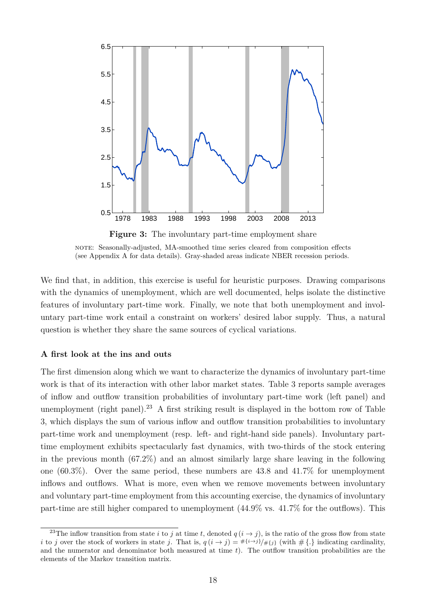<span id="page-17-0"></span>

**Figure 3:** The involuntary part-time employment share note: Seasonally-adjusted, MA-smoothed time series cleared from composition effects

(see Appendix [A](#page-31-1) for data details). Gray-shaded areas indicate NBER recession periods.

We find that, in addition, this exercise is useful for heuristic purposes. Drawing comparisons with the dynamics of unemployment, which are well documented, helps isolate the distinctive features of involuntary part-time work. Finally, we note that both unemployment and involuntary part-time work entail a constraint on workers' desired labor supply. Thus, a natural question is whether they share the same sources of cyclical variations.

#### **A first look at the ins and outs**

The first dimension along which we want to characterize the dynamics of involuntary part-time work is that of its interaction with other labor market states. Table [3](#page-18-0) reports sample averages of inflow and outflow transition probabilities of involuntary part-time work (left panel) and unemployment (right panel).<sup>[23](#page-0-0)</sup> A first striking result is displayed in the bottom row of Table [3,](#page-18-0) which displays the sum of various inflow and outflow transition probabilities to involuntary part-time work and unemployment (resp. left- and right-hand side panels). Involuntary parttime employment exhibits spectacularly fast dynamics, with two-thirds of the stock entering in the previous month (67.2%) and an almost similarly large share leaving in the following one (60.3%). Over the same period, these numbers are 43.8 and 41.7% for unemployment inflows and outflows. What is more, even when we remove movements between involuntary and voluntary part-time employment from this accounting exercise, the dynamics of involuntary part-time are still higher compared to unemployment (44.9% vs. 41.7% for the outflows). This

<sup>&</sup>lt;sup>23</sup>The inflow transition from state i to j at time t, denoted  $q(i \rightarrow j)$ , is the ratio of the gross flow from state i to j over the stock of workers in state j. That is,  $q(i \rightarrow j) = #\{i\rightarrow j\}/# \{j\}$  (with  $# \{\cdot\}$  indicating cardinality, and the numerator and denominator both measured at time  $t$ ). The outflow transition probabilities are the elements of the Markov transition matrix.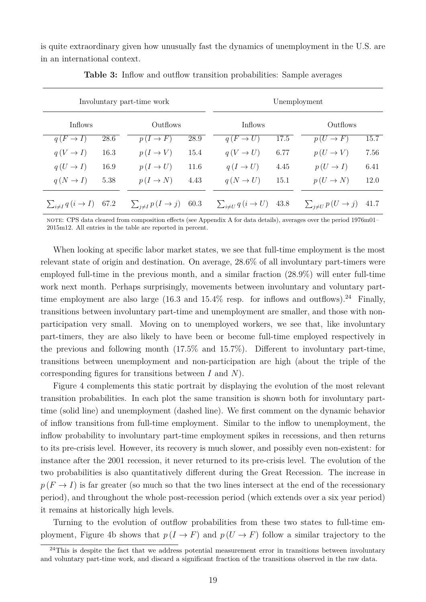<span id="page-18-0"></span>is quite extraordinary given how unusually fast the dynamics of unemployment in the U.S. are in an international context.

|                             | Involuntary part-time work | Unemployment               |      |                             |      |                            |      |
|-----------------------------|----------------------------|----------------------------|------|-----------------------------|------|----------------------------|------|
| <b>Inflows</b>              |                            | Outflows                   |      | <b>Inflows</b>              |      | Outflows                   |      |
| $q(F \to I)$                | 28.6                       | $p(I \to F)$               | 28.9 | $q(F \to U)$                | 17.5 | $p(U \to F)$               | 15.7 |
| $q(V \to I)$                | 16.3                       | $p(I \to V)$               | 15.4 | $q(V \to U)$                | 6.77 | $p(U \rightarrow V)$       | 7.56 |
| $q(U \to I)$                | 16.9                       | $p(I \to U)$               | 11.6 | $q(I \to U)$                | 4.45 | $p(U \to I)$               | 6.41 |
| $q (N \rightarrow I)$       | 5.38                       | $p(I \to N)$               | 4.43 | $q(N \rightarrow U)$        | 15.1 | $p(U \to N)$               | 12.0 |
| $\sum_{i\neq I} q(i \to I)$ | 67.2                       | $\sum_{i\neq I} p(I\to j)$ | 60.3 | $\sum_{i\neq U} q(i \to U)$ | 43.8 | $\sum_{j\neq U} p(U\to j)$ | 41.7 |

**Table 3:** Inflow and outflow transition probabilities: Sample averages

note: CPS data cleared from composition effects (see Appendix [A](#page-31-1) for data details), averages over the period 1976m01– 2015m12. All entries in the table are reported in percent.

When looking at specific labor market states, we see that full-time employment is the most relevant state of origin and destination. On average, 28.6% of all involuntary part-timers were employed full-time in the previous month, and a similar fraction (28.9%) will enter full-time work next month. Perhaps surprisingly, movements between involuntary and voluntary part-time employment are also large (16.3 and 15.4% resp. for inflows and outflows).<sup>[24](#page-0-0)</sup> Finally, transitions between involuntary part-time and unemployment are smaller, and those with nonparticipation very small. Moving on to unemployed workers, we see that, like involuntary part-timers, they are also likely to have been or become full-time employed respectively in the previous and following month (17.5% and 15.7%). Different to involuntary part-time, transitions between unemployment and non-participation are high (about the triple of the corresponding figures for transitions between  $I$  and  $N$ ).

Figure [4](#page-19-0) complements this static portrait by displaying the evolution of the most relevant transition probabilities. In each plot the same transition is shown both for involuntary parttime (solid line) and unemployment (dashed line). We first comment on the dynamic behavior of inflow transitions from full-time employment. Similar to the inflow to unemployment, the inflow probability to involuntary part-time employment spikes in recessions, and then returns to its pre-crisis level. However, its recovery is much slower, and possibly even non-existent: for instance after the 2001 recession, it never returned to its pre-crisis level. The evolution of the two probabilities is also quantitatively different during the Great Recession. The increase in  $p(F \to I)$  is far greater (so much so that the two lines intersect at the end of the recessionary period), and throughout the whole post-recession period (which extends over a six year period) it remains at historically high levels.

Turning to the evolution of outflow probabilities from these two states to full-time em-ployment, Figure [4b](#page-19-1) shows that  $p(I \to F)$  and  $p(U \to F)$  follow a similar trajectory to the

 $^{24}$ This is despite the fact that we address potential measurement error in transitions between involuntary and voluntary part-time work, and discard a significant fraction of the transitions observed in the raw data.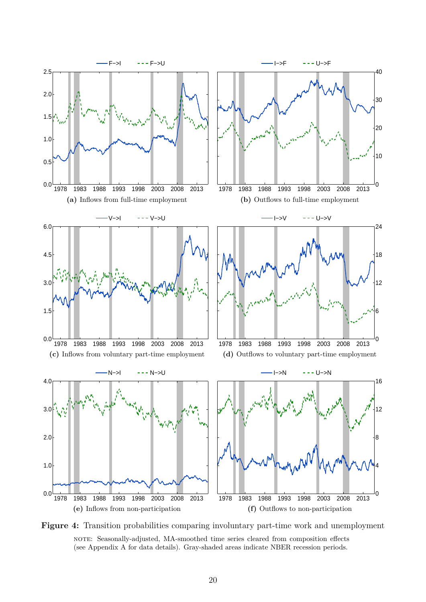<span id="page-19-1"></span><span id="page-19-0"></span>

<span id="page-19-4"></span><span id="page-19-3"></span><span id="page-19-2"></span>**Figure 4:** Transition probabilities comparing involuntary part-time work and unemployment note: Seasonally-adjusted, MA-smoothed time series cleared from composition effects (see Appendix [A](#page-31-1) for data details). Gray-shaded areas indicate NBER recession periods.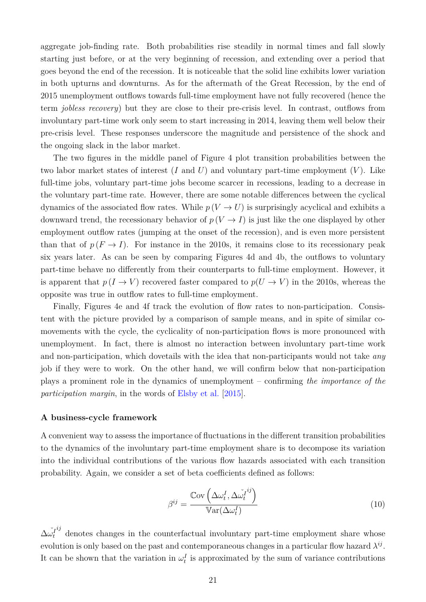aggregate job-finding rate. Both probabilities rise steadily in normal times and fall slowly starting just before, or at the very beginning of recession, and extending over a period that goes beyond the end of the recession. It is noticeable that the solid line exhibits lower variation in both upturns and downturns. As for the aftermath of the Great Recession, by the end of 2015 unemployment outflows towards full-time employment have not fully recovered (hence the term *jobless recovery*) but they are close to their pre-crisis level. In contrast, outflows from involuntary part-time work only seem to start increasing in 2014, leaving them well below their pre-crisis level. These responses underscore the magnitude and persistence of the shock and the ongoing slack in the labor market.

The two figures in the middle panel of Figure [4](#page-19-0) plot transition probabilities between the two labor market states of interest  $(I \text{ and } U)$  and voluntary part-time employment  $(V)$ . Like full-time jobs, voluntary part-time jobs become scarcer in recessions, leading to a decrease in the voluntary part-time rate. However, there are some notable differences between the cyclical dynamics of the associated flow rates. While  $p(V \to U)$  is surprisingly acyclical and exhibits a downward trend, the recessionary behavior of  $p(V \to I)$  is just like the one displayed by other employment outflow rates (jumping at the onset of the recession), and is even more persistent than that of  $p(F \to I)$ . For instance in the 2010s, it remains close to its recessionary peak six years later. As can be seen by comparing Figures [4d](#page-19-2) and [4b,](#page-19-1) the outflows to voluntary part-time behave no differently from their counterparts to full-time employment. However, it is apparent that  $p(I \to V)$  recovered faster compared to  $p(U \to V)$  in the 2010s, whereas the opposite was true in outflow rates to full-time employment.

Finally, Figures [4e](#page-19-3) and [4f](#page-19-4) track the evolution of flow rates to non-participation. Consistent with the picture provided by a comparison of sample means, and in spite of similar comovements with the cycle, the cyclicality of non-participation flows is more pronounced with unemployment. In fact, there is almost no interaction between involuntary part-time work and non-participation, which dovetails with the idea that non-participants would not take *any* job if they were to work. On the other hand, we will confirm below that non-participation plays a prominent role in the dynamics of unemployment – confirming *the importance of the participation margin*, in the words of [Elsby et al.](#page-28-3) [\[2015\]](#page-28-3).

#### **A business-cycle framework**

A convenient way to assess the importance of fluctuations in the different transition probabilities to the dynamics of the involuntary part-time employment share is to decompose its variation into the individual contributions of the various flow hazards associated with each transition probability. Again, we consider a set of beta coefficients defined as follows:

$$
\beta^{ij} = \frac{\text{Cov}\left(\Delta \omega_t^I, \Delta \check{\omega}_t^{ij}\right)}{\text{Var}(\Delta \omega_t^I)}
$$
(10)

 $\Delta \check{\omega^I_t}$  $i<sub>j</sub>$  denotes changes in the counterfactual involuntary part-time employment share whose evolution is only based on the past and contemporaneous changes in a particular flow hazard  $\lambda^{ij}$ . It can be shown that the variation in  $\omega_t^I$  is approximated by the sum of variance contributions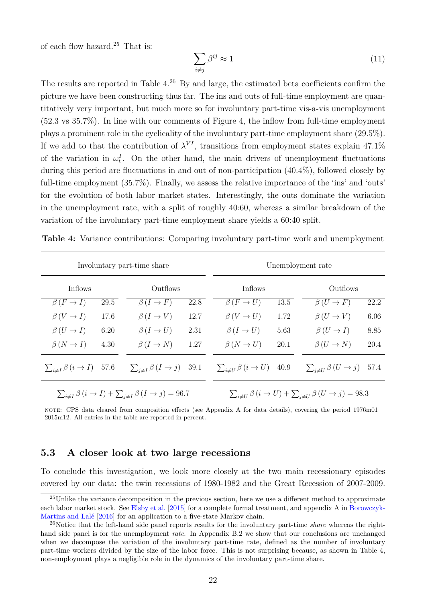of each flow hazard.[25](#page-0-0) That is:

$$
\sum_{i \neq j} \beta^{ij} \approx 1 \tag{11}
$$

The results are reported in Table [4.](#page-21-0)<sup>[26](#page-0-0)</sup> By and large, the estimated beta coefficients confirm the picture we have been constructing thus far. The ins and outs of full-time employment are quantitatively very important, but much more so for involuntary part-time vis-a-vis unemployment (52.3 vs 35.7%). In line with our comments of Figure [4,](#page-19-0) the inflow from full-time employment plays a prominent role in the cyclicality of the involuntary part-time employment share (29.5%). If we add to that the contribution of  $\lambda^{VI}$ , transitions from employment states explain 47.1% of the variation in  $\omega_t^I$ . On the other hand, the main drivers of unemployment fluctuations during this period are fluctuations in and out of non-participation (40.4%), followed closely by full-time employment (35.7%). Finally, we assess the relative importance of the 'ins' and 'outs' for the evolution of both labor market states. Interestingly, the outs dominate the variation in the unemployment rate, with a split of roughly 40:60, whereas a similar breakdown of the variation of the involuntary part-time employment share yields a 60:40 split.

|                                               | Involuntary part-time share | Unemployment rate                                                              |      |                                       |      |                                                                                |      |
|-----------------------------------------------|-----------------------------|--------------------------------------------------------------------------------|------|---------------------------------------|------|--------------------------------------------------------------------------------|------|
| <b>Inflows</b>                                |                             | Outflows                                                                       |      | <b>Inflows</b>                        |      | Outflows                                                                       |      |
| $\beta(F \to I)$                              | 29.5                        | $\beta(I \to F)$                                                               | 22.8 | $\beta(F \to U)$                      | 13.5 | $\beta(U \to F)$                                                               | 22.2 |
| $\beta(V \to I)$                              | 17.6                        | $\beta(I \to V)$                                                               | 12.7 | $\beta(V \to U)$                      | 1.72 | $\beta(U \to V)$                                                               | 6.06 |
| $\beta(U \to I)$                              | 6.20                        | $\beta(I \to U)$                                                               | 2.31 | $\beta(I \to U)$                      | 5.63 | $\beta(U \to I)$                                                               | 8.85 |
| $\beta(N \to I)$                              | 4.30                        | $\beta (I \to N)$                                                              | 1.27 | $\beta(N \to U)$                      | 20.1 | $\beta(U \to N)$                                                               | 20.4 |
| $\sum_{i \neq I} \beta(i \rightarrow I)$ 57.6 |                             | $\sum_{i \neq I} \beta (I \rightarrow j)$ 39.1                                 |      | $\sum_{i\neq U}\beta(i\rightarrow U)$ | 40.9 | $\sum_{i\neq U}\beta(U\rightarrow j)$                                          | 57.4 |
|                                               |                             | $\sum_{i\neq I}\beta(i\rightarrow I)+\sum_{i\neq I}\beta(I\rightarrow j)=96.7$ |      |                                       |      | $\sum_{i\neq U}\beta(i\rightarrow U)+\sum_{i\neq U}\beta(U\rightarrow j)=98.3$ |      |

<span id="page-21-0"></span>**Table 4:** Variance contributions: Comparing involuntary part-time work and unemployment

note: CPS data cleared from composition effects (see Appendix [A](#page-31-1) for data details), covering the period 1976m01– 2015m12. All entries in the table are reported in percent.

## **5.3 A closer look at two large recessions**

To conclude this investigation, we look more closely at the two main recessionary episodes covered by our data: the twin recessions of 1980-1982 and the Great Recession of 2007-2009.

<sup>&</sup>lt;sup>25</sup>Unlike the variance decomposition in the previous section, here we use a different method to approximate each labor market stock. See [Elsby et al.](#page-28-3) [\[2015\]](#page-28-3) for a complete formal treatment, and appendix A in [Borowczyk-](#page-28-1)[Martins and Lalé](#page-28-1) [\[2016\]](#page-28-1) for an application to a five-state Markov chain.

<sup>26</sup>Notice that the left-hand side panel reports results for the involuntary part-time *share* whereas the righthand side panel is for the unemployment *rate*. In Appendix [B.2](#page-41-0) we show that our conclusions are unchanged when we decompose the variation of the involuntary part-time rate, defined as the number of involuntary part-time workers divided by the size of the labor force. This is not surprising because, as shown in Table [4,](#page-21-0) non-employment plays a negligible role in the dynamics of the involuntary part-time share.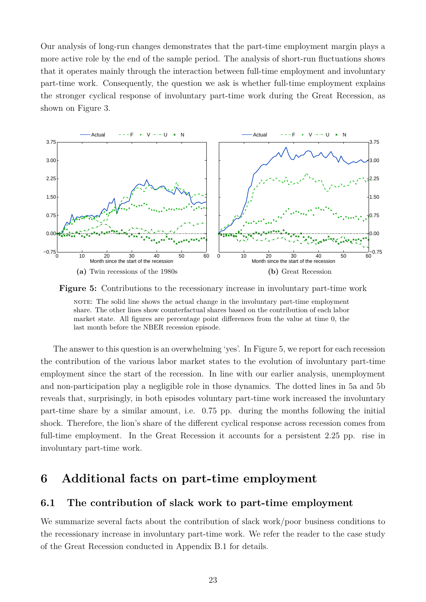Our analysis of long-run changes demonstrates that the part-time employment margin plays a more active role by the end of the sample period. The analysis of short-run fluctuations shows that it operates mainly through the interaction between full-time employment and involuntary part-time work. Consequently, the question we ask is whether full-time employment explains the stronger cyclical response of involuntary part-time work during the Great Recession, as shown on Figure [3.](#page-17-0)

<span id="page-22-2"></span><span id="page-22-1"></span>

<span id="page-22-3"></span>**Figure 5:** Contributions to the recessionary increase in involuntary part-time work note: The solid line shows the actual change in the involuntary part-time employment share. The other lines show counterfactual shares based on the contribution of each labor market state. All figures are percentage point differences from the value at time 0, the last month before the NBER recession episode.

The answer to this question is an overwhelming 'yes'. In Figure [5,](#page-22-1) we report for each recession the contribution of the various labor market states to the evolution of involuntary part-time employment since the start of the recession. In line with our earlier analysis, unemployment and non-participation play a negligible role in those dynamics. The dotted lines in [5a](#page-22-2) and [5b](#page-22-3) reveals that, surprisingly, in both episodes voluntary part-time work increased the involuntary part-time share by a similar amount, i.e. 0.75 pp. during the months following the initial shock. Therefore, the lion's share of the different cyclical response across recession comes from full-time employment. In the Great Recession it accounts for a persistent 2.25 pp. rise in involuntary part-time work.

# <span id="page-22-0"></span>**6 Additional facts on part-time employment**

## **6.1 The contribution of slack work to part-time employment**

We summarize several facts about the contribution of slack work/poor business conditions to the recessionary increase in involuntary part-time work. We refer the reader to the case study of the Great Recession conducted in Appendix [B.1](#page-35-1) for details.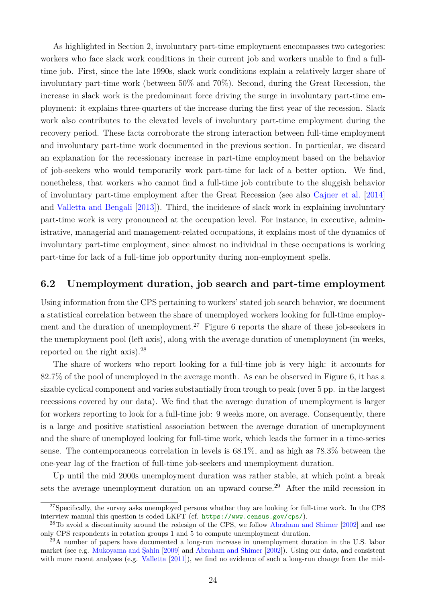As highlighted in Section [2,](#page-5-0) involuntary part-time employment encompasses two categories: workers who face slack work conditions in their current job and workers unable to find a fulltime job. First, since the late 1990s, slack work conditions explain a relatively larger share of involuntary part-time work (between 50% and 70%). Second, during the Great Recession, the increase in slack work is the predominant force driving the surge in involuntary part-time employment: it explains three-quarters of the increase during the first year of the recession. Slack work also contributes to the elevated levels of involuntary part-time employment during the recovery period. These facts corroborate the strong interaction between full-time employment and involuntary part-time work documented in the previous section. In particular, we discard an explanation for the recessionary increase in part-time employment based on the behavior of job-seekers who would temporarily work part-time for lack of a better option. We find, nonetheless, that workers who cannot find a full-time job contribute to the sluggish behavior of involuntary part-time employment after the Great Recession (see also [Cajner et al.](#page-28-11) [\[2014\]](#page-28-11) and [Valletta and Bengali](#page-30-5) [\[2013\]](#page-30-5)). Third, the incidence of slack work in explaining involuntary part-time work is very pronounced at the occupation level. For instance, in executive, administrative, managerial and management-related occupations, it explains most of the dynamics of involuntary part-time employment, since almost no individual in these occupations is working part-time for lack of a full-time job opportunity during non-employment spells.

### **6.2 Unemployment duration, job search and part-time employment**

Using information from the CPS pertaining to workers' stated job search behavior, we document a statistical correlation between the share of unemployed workers looking for full-time employ-ment and the duration of unemployment.<sup>[27](#page-0-0)</sup> Figure [6](#page-24-0) reports the share of these job-seekers in the unemployment pool (left axis), along with the average duration of unemployment (in weeks, reported on the right axis).[28](#page-0-0)

The share of workers who report looking for a full-time job is very high: it accounts for 82.7% of the pool of unemployed in the average month. As can be observed in Figure [6,](#page-24-0) it has a sizable cyclical component and varies substantially from trough to peak (over 5 pp. in the largest recessions covered by our data). We find that the average duration of unemployment is larger for workers reporting to look for a full-time job: 9 weeks more, on average. Consequently, there is a large and positive statistical association between the average duration of unemployment and the share of unemployed looking for full-time work, which leads the former in a time-series sense. The contemporaneous correlation in levels is 68.1%, and as high as 78.3% between the one-year lag of the fraction of full-time job-seekers and unemployment duration.

Up until the mid 2000s unemployment duration was rather stable, at which point a break sets the average unemployment duration on an upward course.<sup>[29](#page-0-0)</sup> After the mild recession in

<sup>&</sup>lt;sup>27</sup>Specifically, the survey asks unemployed persons whether they are looking for full-time work. In the CPS interview manual this question is coded LKFT (cf. <https://www.census.gov/cps/>).

<sup>&</sup>lt;sup>28</sup>To avoid a discontinuity around the redesign of the CPS, we follow [Abraham and Shimer](#page-27-0) [\[2002\]](#page-27-0) and use only CPS respondents in rotation groups 1 and 5 to compute unemployment duration.

<sup>&</sup>lt;sup>29</sup>A number of papers have documented a long-run increase in unemployment duration in the U.S. labor market (see e.g. [Mukoyama and Şahin](#page-29-11) [\[2009\]](#page-29-11) and [Abraham and Shimer](#page-27-0) [\[2002\]](#page-27-0)). Using our data, and consistent with more recent analyses (e.g. [Valletta](#page-30-9) [\[2011\]](#page-30-9)), we find no evidence of such a long-run change from the mid-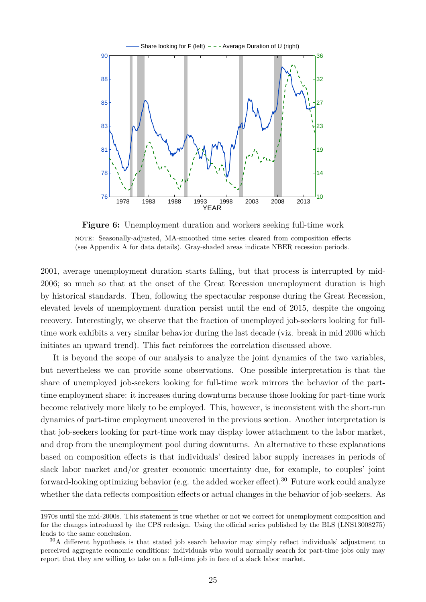<span id="page-24-0"></span>

**Figure 6:** Unemployment duration and workers seeking full-time work note: Seasonally-adjusted, MA-smoothed time series cleared from composition effects (see Appendix [A](#page-31-1) for data details). Gray-shaded areas indicate NBER recession periods.

2001, average unemployment duration starts falling, but that process is interrupted by mid-2006; so much so that at the onset of the Great Recession unemployment duration is high by historical standards. Then, following the spectacular response during the Great Recession, elevated levels of unemployment duration persist until the end of 2015, despite the ongoing recovery. Interestingly, we observe that the fraction of unemployed job-seekers looking for fulltime work exhibits a very similar behavior during the last decade (viz. break in mid 2006 which initiates an upward trend). This fact reinforces the correlation discussed above.

It is beyond the scope of our analysis to analyze the joint dynamics of the two variables, but nevertheless we can provide some observations. One possible interpretation is that the share of unemployed job-seekers looking for full-time work mirrors the behavior of the parttime employment share: it increases during downturns because those looking for part-time work become relatively more likely to be employed. This, however, is inconsistent with the short-run dynamics of part-time employment uncovered in the previous section. Another interpretation is that job-seekers looking for part-time work may display lower attachment to the labor market, and drop from the unemployment pool during downturns. An alternative to these explanations based on composition effects is that individuals' desired labor supply increases in periods of slack labor market and/or greater economic uncertainty due, for example, to couples' joint forward-looking optimizing behavior (e.g. the added worker effect).<sup>[30](#page-0-0)</sup> Future work could analyze whether the data reflects composition effects or actual changes in the behavior of job-seekers. As

<sup>1970</sup>s until the mid-2000s. This statement is true whether or not we correct for unemployment composition and for the changes introduced by the CPS redesign. Using the official series published by the BLS (LNS13008275) leads to the same conclusion.

 $30A$  different hypothesis is that stated job search behavior may simply reflect individuals' adjustment to perceived aggregate economic conditions: individuals who would normally search for part-time jobs only may report that they are willing to take on a full-time job in face of a slack labor market.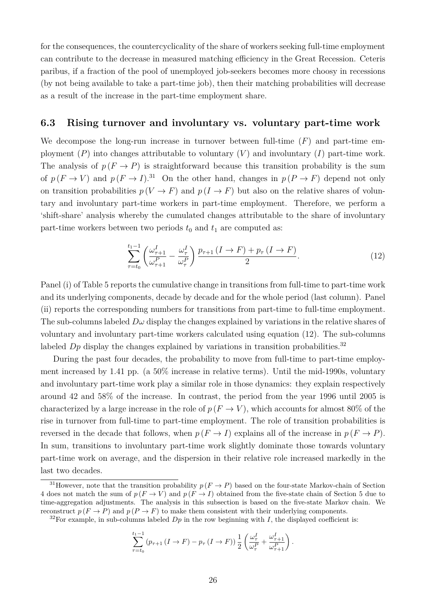for the consequences, the countercyclicality of the share of workers seeking full-time employment can contribute to the decrease in measured matching efficiency in the Great Recession. Ceteris paribus, if a fraction of the pool of unemployed job-seekers becomes more choosy in recessions (by not being available to take a part-time job), then their matching probabilities will decrease as a result of the increase in the part-time employment share.

#### <span id="page-25-1"></span>**6.3 Rising turnover and involuntary vs. voluntary part-time work**

We decompose the long-run increase in turnover between full-time  $(F)$  and part-time employment  $(P)$  into changes attributable to voluntary  $(V)$  and involuntary  $(I)$  part-time work. The analysis of  $p(F \to P)$  is straightforward because this transition probability is the sum of  $p(F \to V)$  and  $p(F \to I)^{31}$  $p(F \to I)^{31}$  $p(F \to I)^{31}$  On the other hand, changes in  $p(P \to F)$  depend not only on transition probabilities  $p(V \to F)$  and  $p(I \to F)$  but also on the relative shares of voluntary and involuntary part-time workers in part-time employment. Therefore, we perform a 'shift-share' analysis whereby the cumulated changes attributable to the share of involuntary part-time workers between two periods  $t_0$  and  $t_1$  are computed as:

<span id="page-25-0"></span>
$$
\sum_{\tau=t_0}^{t_1-1} \left( \frac{\omega_{\tau+1}^I}{\omega_{\tau+1}^P} - \frac{\omega_{\tau}^I}{\omega_{\tau}^P} \right) \frac{p_{\tau+1} \left( I \to F \right) + p_{\tau} \left( I \to F \right)}{2}.
$$
\n
$$
(12)
$$

Panel (i) of Table [5](#page-26-1) reports the cumulative change in transitions from full-time to part-time work and its underlying components, decade by decade and for the whole period (last column). Panel (ii) reports the corresponding numbers for transitions from part-time to full-time employment. The sub-columns labeled  $D\omega$  display the changes explained by variations in the relative shares of voluntary and involuntary part-time workers calculated using equation [\(12\)](#page-25-0). The sub-columns labeled  $Dp$  display the changes explained by variations in transition probabilities.<sup>[32](#page-0-0)</sup>

During the past four decades, the probability to move from full-time to part-time employment increased by 1.41 pp. (a 50% increase in relative terms). Until the mid-1990s, voluntary and involuntary part-time work play a similar role in those dynamics: they explain respectively around 42 and 58% of the increase. In contrast, the period from the year 1996 until 2005 is characterized by a large increase in the role of  $p(F \to V)$ , which accounts for almost 80% of the rise in turnover from full-time to part-time employment. The role of transition probabilities is reversed in the decade that follows, when  $p(F \to I)$  explains all of the increase in  $p(F \to P)$ . In sum, transitions to involuntary part-time work slightly dominate those towards voluntary part-time work on average, and the dispersion in their relative role increased markedly in the last two decades.

$$
\sum_{\tau=t_0}^{t_1-1} (p_{\tau+1} (I \to F) - p_{\tau} (I \to F)) \frac{1}{2} \left( \frac{\omega_{\tau}^I}{\omega_{\tau}^P} + \frac{\omega_{\tau+1}^I}{\omega_{\tau+1}^P} \right).
$$

<sup>&</sup>lt;sup>31</sup>However, note that the transition probability  $p(F \to P)$  based on the four-state Markov-chain of Section [4](#page-8-0) does not match the sum of  $p(F \to V)$  and  $p(F \to I)$  obtained from the five-state chain of Section [5](#page-16-0) due to time-aggregation adjustments. The analysis in this subsection is based on the five-state Markov chain. We reconstruct  $p(F \to P)$  and  $p(P \to F)$  to make them consistent with their underlying components.

<sup>&</sup>lt;sup>32</sup>For example, in sub-columns labeled  $Dp$  in the row beginning with I, the displayed coefficient is: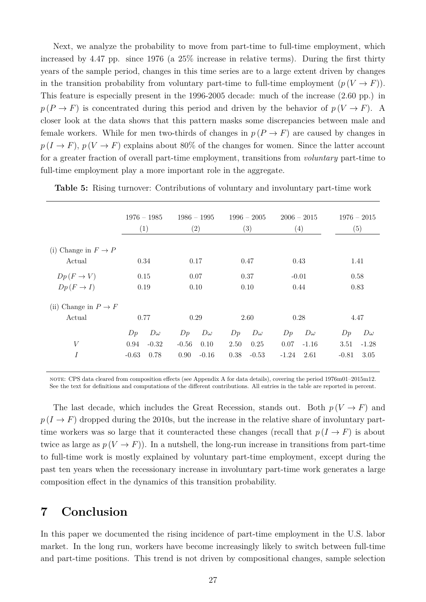Next, we analyze the probability to move from part-time to full-time employment, which increased by 4.47 pp. since 1976 (a 25% increase in relative terms). During the first thirty years of the sample period, changes in this time series are to a large extent driven by changes in the transition probability from voluntary part-time to full-time employment  $(p(V \rightarrow F))$ . This feature is especially present in the 1996-2005 decade: much of the increase (2.60 pp.) in  $p(P \to F)$  is concentrated during this period and driven by the behavior of  $p(V \to F)$ . A closer look at the data shows that this pattern masks some discrepancies between male and female workers. While for men two-thirds of changes in  $p(P \to F)$  are caused by changes in  $p(I \to F), p(V \to F)$  explains about 80% of the changes for women. Since the latter account for a greater fraction of overall part-time employment, transitions from *voluntary* part-time to full-time employment play a more important role in the aggregate.

|                             | $1976 - 1985$<br>(1) |           |         | $1986 - 1995$<br>(2) |      | $1996 - 2005$<br>$\left( 3\right)$ |         | $2006 - 2015$<br>(4) |         | $1976 - 2015$<br>(5) |  |
|-----------------------------|----------------------|-----------|---------|----------------------|------|------------------------------------|---------|----------------------|---------|----------------------|--|
| (i) Change in $F \to P$     |                      |           |         |                      |      |                                    |         |                      |         |                      |  |
| Actual                      | 0.34                 |           |         | 0.17                 |      | 0.47                               | 0.43    |                      |         | 1.41                 |  |
| $Dp(F \to V)$               | 0.15                 |           |         | 0.07                 | 0.37 |                                    | $-0.01$ |                      |         | 0.58                 |  |
| $Dp(F \to I)$               | 0.19                 |           |         | 0.10                 | 0.10 |                                    | 0.44    |                      |         | 0.83                 |  |
| Change in $P \to F$<br>(ii) |                      |           |         |                      |      |                                    |         |                      |         |                      |  |
| Actual                      | 0.77                 |           |         | 0.29                 |      | 2.60                               | 0.28    |                      |         | 4.47                 |  |
|                             | Dp                   | $D\omega$ | Dp      | $D\omega$            | Dp   | $D\omega$                          | Dp      | $D\omega$            | Dp      | $D\omega$            |  |
| $\boldsymbol{V}$            | 0.94                 | $-0.32$   | $-0.56$ | 0.10                 | 2.50 | 0.25                               | 0.07    | $-1.16$              | 3.51    | $-1.28$              |  |
| Ι                           | $-0.63$              | 0.78      | 0.90    | $-0.16$              | 0.38 | $-0.53$                            | $-1.24$ | 2.61                 | $-0.81$ | 3.05                 |  |

<span id="page-26-1"></span>**Table 5:** Rising turnover: Contributions of voluntary and involuntary part-time work

note: CPS data cleared from composition effects (see Appendix [A](#page-31-1) for data details), covering the period 1976m01–2015m12. See the text for definitions and computations of the different contributions. All entries in the table are reported in percent.

The last decade, which includes the Great Recession, stands out. Both  $p(V \rightarrow F)$  and  $p(I \to F)$  dropped during the 2010s, but the increase in the relative share of involuntary parttime workers was so large that it counteracted these changes (recall that  $p(I \to F)$ ) is about twice as large as  $p(V \to F)$ ). In a nutshell, the long-run increase in transitions from part-time to full-time work is mostly explained by voluntary part-time employment, except during the past ten years when the recessionary increase in involuntary part-time work generates a large composition effect in the dynamics of this transition probability.

# <span id="page-26-0"></span>**7 Conclusion**

In this paper we documented the rising incidence of part-time employment in the U.S. labor market. In the long run, workers have become increasingly likely to switch between full-time and part-time positions. This trend is not driven by compositional changes, sample selection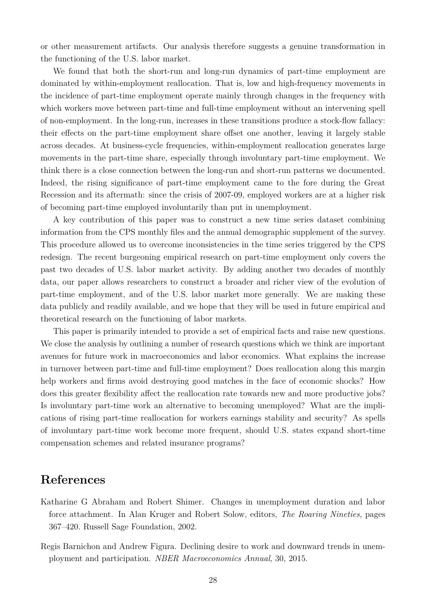or other measurement artifacts. Our analysis therefore suggests a genuine transformation in the functioning of the U.S. labor market.

We found that both the short-run and long-run dynamics of part-time employment are dominated by within-employment reallocation. That is, low and high-frequency movements in the incidence of part-time employment operate mainly through changes in the frequency with which workers move between part-time and full-time employment without an intervening spell of non-employment. In the long-run, increases in these transitions produce a stock-flow fallacy: their effects on the part-time employment share offset one another, leaving it largely stable across decades. At business-cycle frequencies, within-employment reallocation generates large movements in the part-time share, especially through involuntary part-time employment. We think there is a close connection between the long-run and short-run patterns we documented. Indeed, the rising significance of part-time employment came to the fore during the Great Recession and its aftermath: since the crisis of 2007-09, employed workers are at a higher risk of becoming part-time employed involuntarily than put in unemployment.

A key contribution of this paper was to construct a new time series dataset combining information from the CPS monthly files and the annual demographic supplement of the survey. This procedure allowed us to overcome inconsistencies in the time series triggered by the CPS redesign. The recent burgeoning empirical research on part-time employment only covers the past two decades of U.S. labor market activity. By adding another two decades of monthly data, our paper allows researchers to construct a broader and richer view of the evolution of part-time employment, and of the U.S. labor market more generally. We are making these data publicly and readily available, and we hope that they will be used in future empirical and theoretical research on the functioning of labor markets.

This paper is primarily intended to provide a set of empirical facts and raise new questions. We close the analysis by outlining a number of research questions which we think are important avenues for future work in macroeconomics and labor economics. What explains the increase in turnover between part-time and full-time employment? Does reallocation along this margin help workers and firms avoid destroying good matches in the face of economic shocks? How does this greater flexibility affect the reallocation rate towards new and more productive jobs? Is involuntary part-time work an alternative to becoming unemployed? What are the implications of rising part-time reallocation for workers earnings stability and security? As spells of involuntary part-time work become more frequent, should U.S. states expand short-time compensation schemes and related insurance programs?

# **References**

- <span id="page-27-0"></span>Katharine G Abraham and Robert Shimer. Changes in unemployment duration and labor force attachment. In Alan Kruger and Robert Solow, editors, *The Roaring Nineties*, pages 367–420. Russell Sage Foundation, 2002.
- <span id="page-27-1"></span>Regis Barnichon and Andrew Figura. Declining desire to work and downward trends in unemployment and participation. *NBER Macroeconomics Annual*, 30, 2015.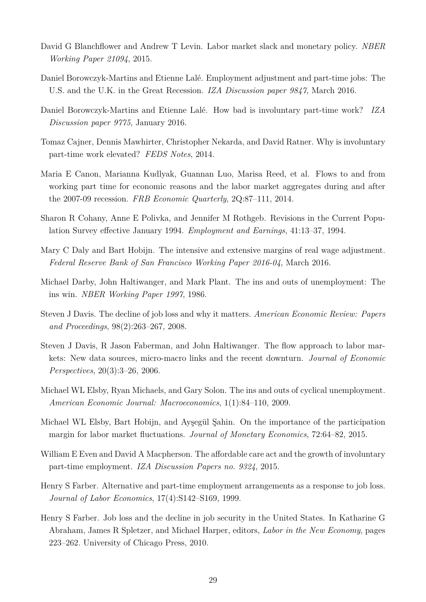- <span id="page-28-10"></span>David G Blanchflower and Andrew T Levin. Labor market slack and monetary policy. *NBER Working Paper 21094*, 2015.
- <span id="page-28-1"></span>Daniel Borowczyk-Martins and Etienne Lalé. Employment adjustment and part-time jobs: The U.S. and the U.K. in the Great Recession. *IZA Discussion paper 9847*, March 2016.
- <span id="page-28-0"></span>Daniel Borowczyk-Martins and Etienne Lalé. How bad is involuntary part-time work? *IZA Discussion paper 9775*, January 2016.
- <span id="page-28-11"></span>Tomaz Cajner, Dennis Mawhirter, Christopher Nekarda, and David Ratner. Why is involuntary part-time work elevated? *FEDS Notes*, 2014.
- <span id="page-28-9"></span>Maria E Canon, Marianna Kudlyak, Guannan Luo, Marisa Reed, et al. Flows to and from working part time for economic reasons and the labor market aggregates during and after the 2007-09 recession. *FRB Economic Quarterly*, 2Q:87–111, 2014.
- <span id="page-28-13"></span>Sharon R Cohany, Anne E Polivka, and Jennifer M Rothgeb. Revisions in the Current Population Survey effective January 1994. *Employment and Earnings*, 41:13–37, 1994.
- <span id="page-28-2"></span>Mary C Daly and Bart Hobijn. The intensive and extensive margins of real wage adjustment. *Federal Reserve Bank of San Francisco Working Paper 2016-04*, March 2016.
- <span id="page-28-4"></span>Michael Darby, John Haltiwanger, and Mark Plant. The ins and outs of unemployment: The ins win. *NBER Working Paper 1997*, 1986.
- <span id="page-28-7"></span>Steven J Davis. The decline of job loss and why it matters. *American Economic Review: Papers and Proceedings*, 98(2):263–267, 2008.
- <span id="page-28-5"></span>Steven J Davis, R Jason Faberman, and John Haltiwanger. The flow approach to labor markets: New data sources, micro-macro links and the recent downturn. *Journal of Economic Perspectives*, 20(3):3–26, 2006.
- <span id="page-28-14"></span>Michael WL Elsby, Ryan Michaels, and Gary Solon. The ins and outs of cyclical unemployment. *American Economic Journal: Macroeconomics*, 1(1):84–110, 2009.
- <span id="page-28-3"></span>Michael WL Elsby, Bart Hobijn, and Ayşegül Şahin. On the importance of the participation margin for labor market fluctuations. *Journal of Monetary Economics*, 72:64–82, 2015.
- <span id="page-28-12"></span>William E Even and David A Macpherson. The affordable care act and the growth of involuntary part-time employment. *IZA Discussion Papers no. 9324*, 2015.
- <span id="page-28-8"></span>Henry S Farber. Alternative and part-time employment arrangements as a response to job loss. *Journal of Labor Economics*, 17(4):S142–S169, 1999.
- <span id="page-28-6"></span>Henry S Farber. Job loss and the decline in job security in the United States. In Katharine G Abraham, James R Spletzer, and Michael Harper, editors, *Labor in the New Economy*, pages 223–262. University of Chicago Press, 2010.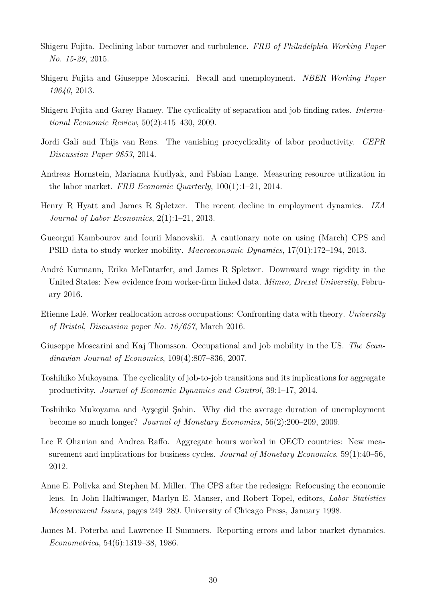- <span id="page-29-5"></span>Shigeru Fujita. Declining labor turnover and turbulence. *FRB of Philadelphia Working Paper No. 15-29*, 2015.
- <span id="page-29-3"></span>Shigeru Fujita and Giuseppe Moscarini. Recall and unemployment. *NBER Working Paper 19640*, 2013.
- <span id="page-29-1"></span>Shigeru Fujita and Garey Ramey. The cyclicality of separation and job finding rates. *International Economic Review*, 50(2):415–430, 2009.
- <span id="page-29-7"></span>Jordi Galí and Thijs van Rens. The vanishing procyclicality of labor productivity. *CEPR Discussion Paper 9853*, 2014.
- <span id="page-29-8"></span>Andreas Hornstein, Marianna Kudlyak, and Fabian Lange. Measuring resource utilization in the labor market. *FRB Economic Quarterly*, 100(1):1–21, 2014.
- <span id="page-29-4"></span>Henry R Hyatt and James R Spletzer. The recent decline in employment dynamics. *IZA Journal of Labor Economics*, 2(1):1–21, 2013.
- <span id="page-29-12"></span>Gueorgui Kambourov and Iourii Manovskii. A cautionary note on using (March) CPS and PSID data to study worker mobility. *Macroeconomic Dynamics*, 17(01):172–194, 2013.
- <span id="page-29-0"></span>André Kurmann, Erika McEntarfer, and James R Spletzer. Downward wage rigidity in the United States: New evidence from worker-firm linked data. *Mimeo, Drexel University*, February 2016.
- <span id="page-29-13"></span>Etienne Lalé. Worker reallocation across occupations: Confronting data with theory. *University of Bristol, Discussion paper No. 16/657*, March 2016.
- <span id="page-29-14"></span>Giuseppe Moscarini and Kaj Thomsson. Occupational and job mobility in the US. *The Scandinavian Journal of Economics*, 109(4):807–836, 2007.
- <span id="page-29-6"></span>Toshihiko Mukoyama. The cyclicality of job-to-job transitions and its implications for aggregate productivity. *Journal of Economic Dynamics and Control*, 39:1–17, 2014.
- <span id="page-29-11"></span>Toshihiko Mukoyama and Ayşegül Şahin. Why did the average duration of unemployment become so much longer? *Journal of Monetary Economics*, 56(2):200–209, 2009.
- <span id="page-29-2"></span>Lee E Ohanian and Andrea Raffo. Aggregate hours worked in OECD countries: New measurement and implications for business cycles. *Journal of Monetary Economics*, 59(1):40–56, 2012.
- <span id="page-29-9"></span>Anne E. Polivka and Stephen M. Miller. The CPS after the redesign: Refocusing the economic lens. In John Haltiwanger, Marlyn E. Manser, and Robert Topel, editors, *Labor Statistics Measurement Issues*, pages 249–289. University of Chicago Press, January 1998.
- <span id="page-29-10"></span>James M. Poterba and Lawrence H Summers. Reporting errors and labor market dynamics. *Econometrica*, 54(6):1319–38, 1986.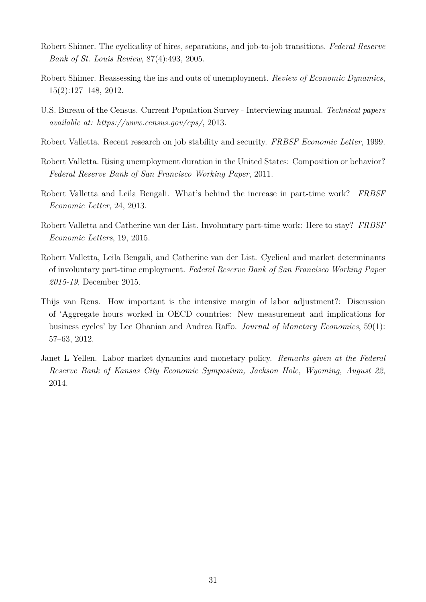- <span id="page-30-3"></span>Robert Shimer. The cyclicality of hires, separations, and job-to-job transitions. *Federal Reserve Bank of St. Louis Review*, 87(4):493, 2005.
- <span id="page-30-0"></span>Robert Shimer. Reassessing the ins and outs of unemployment. *Review of Economic Dynamics*, 15(2):127–148, 2012.
- <span id="page-30-8"></span>U.S. Bureau of the Census. Current Population Survey - Interviewing manual. *Technical papers available at: https://www.census.gov/cps/*, 2013.
- <span id="page-30-2"></span>Robert Valletta. Recent research on job stability and security. *FRBSF Economic Letter*, 1999.
- <span id="page-30-9"></span>Robert Valletta. Rising unemployment duration in the United States: Composition or behavior? *Federal Reserve Bank of San Francisco Working Paper*, 2011.
- <span id="page-30-5"></span>Robert Valletta and Leila Bengali. What's behind the increase in part-time work? *FRBSF Economic Letter*, 24, 2013.
- <span id="page-30-6"></span>Robert Valletta and Catherine van der List. Involuntary part-time work: Here to stay? *FRBSF Economic Letters*, 19, 2015.
- <span id="page-30-7"></span>Robert Valletta, Leila Bengali, and Catherine van der List. Cyclical and market determinants of involuntary part-time employment. *Federal Reserve Bank of San Francisco Working Paper 2015-19*, December 2015.
- <span id="page-30-1"></span>Thijs van Rens. How important is the intensive margin of labor adjustment?: Discussion of 'Aggregate hours worked in OECD countries: New measurement and implications for business cycles' by Lee Ohanian and Andrea Raffo. *Journal of Monetary Economics*, 59(1): 57–63, 2012.
- <span id="page-30-4"></span>Janet L Yellen. Labor market dynamics and monetary policy. *Remarks given at the Federal Reserve Bank of Kansas City Economic Symposium, Jackson Hole, Wyoming, August 22*, 2014.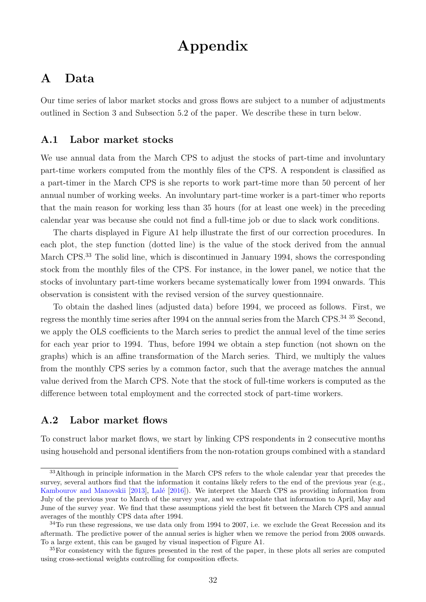# **Appendix**

# <span id="page-31-1"></span>**A Data**

Our time series of labor market stocks and gross flows are subject to a number of adjustments outlined in Section [3](#page-7-0) and Subsection [5.2](#page-16-1) of the paper. We describe these in turn below.

## <span id="page-31-0"></span>**A.1 Labor market stocks**

We use annual data from the March CPS to adjust the stocks of part-time and involuntary part-time workers computed from the monthly files of the CPS. A respondent is classified as a part-timer in the March CPS is she reports to work part-time more than 50 percent of her annual number of working weeks. An involuntary part-time worker is a part-timer who reports that the main reason for working less than 35 hours (for at least one week) in the preceding calendar year was because she could not find a full-time job or due to slack work conditions.

The charts displayed in Figure [A1](#page-32-0) help illustrate the first of our correction procedures. In each plot, the step function (dotted line) is the value of the stock derived from the annual March CPS.<sup>[33](#page-0-0)</sup> The solid line, which is discontinued in January 1994, shows the corresponding stock from the monthly files of the CPS. For instance, in the lower panel, we notice that the stocks of involuntary part-time workers became systematically lower from 1994 onwards. This observation is consistent with the revised version of the survey questionnaire.

To obtain the dashed lines (adjusted data) before 1994, we proceed as follows. First, we regress the monthly time series after 1994 on the annual series from the March CPS.[34](#page-0-0) [35](#page-0-0) Second, we apply the OLS coefficients to the March series to predict the annual level of the time series for each year prior to 1994. Thus, before 1994 we obtain a step function (not shown on the graphs) which is an affine transformation of the March series. Third, we multiply the values from the monthly CPS series by a common factor, such that the average matches the annual value derived from the March CPS. Note that the stock of full-time workers is computed as the difference between total employment and the corrected stock of part-time workers.

## **A.2 Labor market flows**

To construct labor market flows, we start by linking CPS respondents in 2 consecutive months using household and personal identifiers from the non-rotation groups combined with a standard

<sup>&</sup>lt;sup>33</sup>Although in principle information in the March CPS refers to the whole calendar year that precedes the survey, several authors find that the information it contains likely refers to the end of the previous year (e.g., [Kambourov and Manovskii](#page-29-12) [\[2013\]](#page-29-12), [Lalé](#page-29-13) [\[2016\]](#page-29-13)). We interpret the March CPS as providing information from July of the previous year to March of the survey year, and we extrapolate that information to April, May and June of the survey year. We find that these assumptions yield the best fit between the March CPS and annual averages of the monthly CPS data after 1994.

 $34$ To run these regressions, we use data only from 1994 to 2007, i.e. we exclude the Great Recession and its aftermath. The predictive power of the annual series is higher when we remove the period from 2008 onwards. To a large extent, this can be gauged by visual inspection of Figure [A1.](#page-32-0)

<sup>&</sup>lt;sup>35</sup>For consistency with the figures presented in the rest of the paper, in these plots all series are computed using cross-sectional weights controlling for composition effects.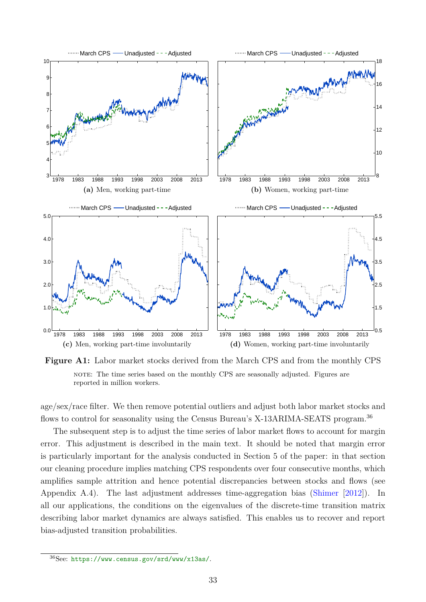<span id="page-32-0"></span>

**Figure A1:** Labor market stocks derived from the March CPS and from the monthly CPS note: The time series based on the monthly CPS are seasonally adjusted. Figures are reported in million workers.

age/sex/race filter. We then remove potential outliers and adjust both labor market stocks and flows to control for seasonality using the Census Bureau's X-13ARIMA-SEATS program.<sup>[36](#page-0-0)</sup>

The subsequent step is to adjust the time series of labor market flows to account for margin error. This adjustment is described in the main text. It should be noted that margin error is particularly important for the analysis conducted in Section [5](#page-16-0) of the paper: in that section our cleaning procedure implies matching CPS respondents over four consecutive months, which amplifies sample attrition and hence potential discrepancies between stocks and flows (see Appendix [A.4\)](#page-34-0). The last adjustment addresses time-aggregation bias [\(Shimer](#page-30-0) [\[2012\]](#page-30-0)). In all our applications, the conditions on the eigenvalues of the discrete-time transition matrix describing labor market dynamics are always satisfied. This enables us to recover and report bias-adjusted transition probabilities.

<sup>36</sup>See: <https://www.census.gov/srd/www/x13as/>.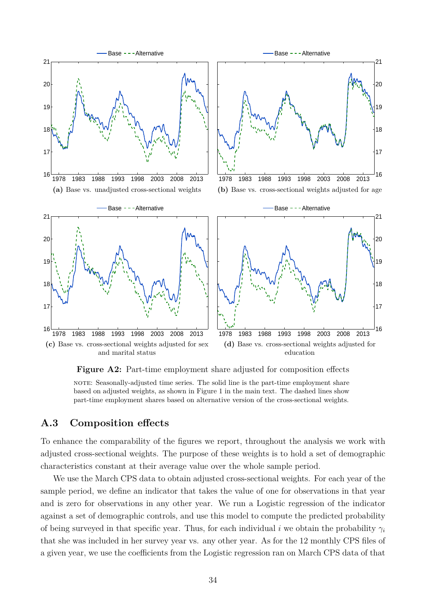<span id="page-33-4"></span><span id="page-33-3"></span><span id="page-33-2"></span><span id="page-33-1"></span>

<span id="page-33-5"></span>**Figure A2:** Part-time employment share adjusted for composition effects

note: Seasonally-adjusted time series. The solid line is the part-time employment share based on adjusted weights, as shown in Figure [1](#page-9-0) in the main text. The dashed lines show part-time employment shares based on alternative version of the cross-sectional weights.

## <span id="page-33-0"></span>**A.3 Composition effects**

To enhance the comparability of the figures we report, throughout the analysis we work with adjusted cross-sectional weights. The purpose of these weights is to hold a set of demographic characteristics constant at their average value over the whole sample period.

We use the March CPS data to obtain adjusted cross-sectional weights. For each year of the sample period, we define an indicator that takes the value of one for observations in that year and is zero for observations in any other year. We run a Logistic regression of the indicator against a set of demographic controls, and use this model to compute the predicted probability of being surveyed in that specific year. Thus, for each individual i we obtain the probability  $\gamma_i$ that she was included in her survey year vs. any other year. As for the 12 monthly CPS files of a given year, we use the coefficients from the Logistic regression ran on March CPS data of that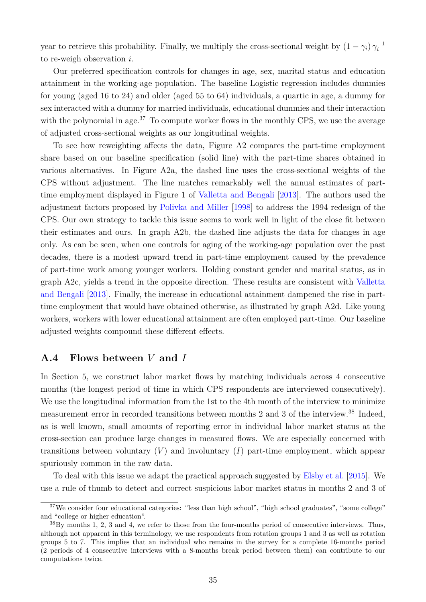year to retrieve this probability. Finally, we multiply the cross-sectional weight by  $(1 - \gamma_i) \gamma_i^{-1}$ i to re-weigh observation i.

Our preferred specification controls for changes in age, sex, marital status and education attainment in the working-age population. The baseline Logistic regression includes dummies for young (aged 16 to 24) and older (aged 55 to 64) individuals, a quartic in age, a dummy for sex interacted with a dummy for married individuals, educational dummies and their interaction with the polynomial in age.<sup>[37](#page-0-0)</sup> To compute worker flows in the monthly CPS, we use the average of adjusted cross-sectional weights as our longitudinal weights.

To see how reweighting affects the data, Figure [A2](#page-33-1) compares the part-time employment share based on our baseline specification (solid line) with the part-time shares obtained in various alternatives. In Figure [A2a,](#page-33-2) the dashed line uses the cross-sectional weights of the CPS without adjustment. The line matches remarkably well the annual estimates of parttime employment displayed in Figure 1 of [Valletta and Bengali](#page-30-5) [\[2013\]](#page-30-5). The authors used the adjustment factors proposed by [Polivka and Miller](#page-29-9) [\[1998\]](#page-29-9) to address the 1994 redesign of the CPS. Our own strategy to tackle this issue seems to work well in light of the close fit between their estimates and ours. In graph [A2b,](#page-33-3) the dashed line adjusts the data for changes in age only. As can be seen, when one controls for aging of the working-age population over the past decades, there is a modest upward trend in part-time employment caused by the prevalence of part-time work among younger workers. Holding constant gender and marital status, as in graph [A2c,](#page-33-4) yields a trend in the opposite direction. These results are consistent with [Valletta](#page-30-5) [and Bengali](#page-30-5) [\[2013\]](#page-30-5). Finally, the increase in educational attainment dampened the rise in parttime employment that would have obtained otherwise, as illustrated by graph [A2d.](#page-33-5) Like young workers, workers with lower educational attainment are often employed part-time. Our baseline adjusted weights compound these different effects.

### <span id="page-34-0"></span>**A.4 Flows between** V **and** I

In Section [5,](#page-16-0) we construct labor market flows by matching individuals across 4 consecutive months (the longest period of time in which CPS respondents are interviewed consecutively). We use the longitudinal information from the 1st to the 4th month of the interview to minimize measurement error in recorded transitions between months 2 and 3 of the interview.[38](#page-0-0) Indeed, as is well known, small amounts of reporting error in individual labor market status at the cross-section can produce large changes in measured flows. We are especially concerned with transitions between voluntary  $(V)$  and involuntary  $(I)$  part-time employment, which appear spuriously common in the raw data.

To deal with this issue we adapt the practical approach suggested by [Elsby et al.](#page-28-3) [\[2015\]](#page-28-3). We use a rule of thumb to detect and correct suspicious labor market status in months 2 and 3 of

<sup>37</sup>We consider four educational categories: "less than high school", "high school graduates", "some college" and "college or higher education".

 $38\,\text{By months}$  1, 2, 3 and 4, we refer to those from the four-months period of consecutive interviews. Thus, although not apparent in this terminology, we use respondents from rotation groups 1 and 3 as well as rotation groups 5 to 7. This implies that an individual who remains in the survey for a complete 16-months period (2 periods of 4 consecutive interviews with a 8-months break period between them) can contribute to our computations twice.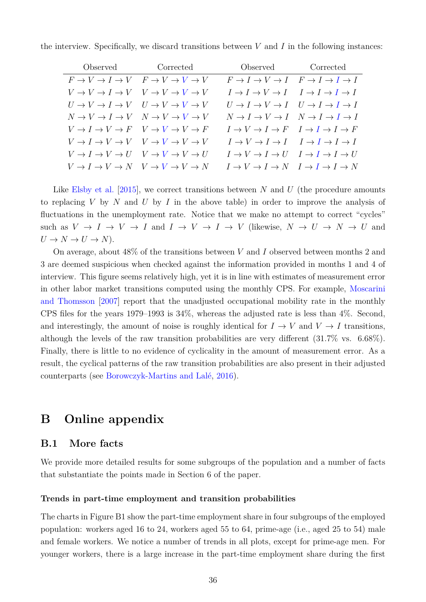| the interview. Specifically, we discard transitions between $V$ and $I$ in the following instances: |  |  |  |  |  |  |  |  |  |  |
|-----------------------------------------------------------------------------------------------------|--|--|--|--|--|--|--|--|--|--|
|-----------------------------------------------------------------------------------------------------|--|--|--|--|--|--|--|--|--|--|

| Observed | Corrected                                       | Observed Corrected                              |  |
|----------|-------------------------------------------------|-------------------------------------------------|--|
|          | $F \to V \to I \to V \quad F \to V \to V \to V$ | $F \to I \to V \to I$ $F \to I \to I \to I$     |  |
|          | $V \to V \to I \to V \quad V \to V \to V \to V$ | $I \to I \to V \to I \quad I \to I \to I \to I$ |  |
|          | $U \to V \to I \to V \quad U \to V \to V \to V$ | $U \to I \to V \to I \quad U \to I \to I \to I$ |  |
|          | $N \to V \to I \to V$ $N \to V \to V \to V$     | $N \to I \to V \to I \quad N \to I \to I \to I$ |  |
|          | $V \to I \to V \to F$ $V \to V \to V \to F$     | $I \to V \to I \to F \quad I \to I \to I \to F$ |  |
|          | $V \to I \to V \to V \quad V \to V \to V \to V$ | $I \to V \to I \to I \quad I \to I \to I \to I$ |  |
|          | $V \to I \to V \to U \quad V \to V \to V \to U$ | $I \to V \to I \to U \quad I \to I \to I \to U$ |  |
|          | $V \to I \to V \to N$ $V \to V \to V \to N$     | $I \to V \to I \to N$ $I \to I \to I \to N$     |  |

Like [Elsby et al.](#page-28-3) [\[2015\]](#page-28-3), we correct transitions between N and U (the procedure amounts to replacing V by N and U by I in the above table) in order to improve the analysis of fluctuations in the unemployment rate. Notice that we make no attempt to correct "cycles" such as  $V \to I \to V \to I$  and  $I \to V \to I \to V$  (likewise,  $N \to U \to N \to U$  and  $U \to N \to U \to N$ ).

On average, about  $48\%$  of the transitions between V and I observed between months 2 and 3 are deemed suspicious when checked against the information provided in months 1 and 4 of interview. This figure seems relatively high, yet it is in line with estimates of measurement error in other labor market transitions computed using the monthly CPS. For example, [Moscarini](#page-29-14) [and Thomsson](#page-29-14) [\[2007\]](#page-29-14) report that the unadjusted occupational mobility rate in the monthly CPS files for the years 1979–1993 is 34%, whereas the adjusted rate is less than 4%. Second, and interestingly, the amount of noise is roughly identical for  $I \to V$  and  $V \to I$  transitions, although the levels of the raw transition probabilities are very different (31.7% vs. 6.68%). Finally, there is little to no evidence of cyclicality in the amount of measurement error. As a result, the cyclical patterns of the raw transition probabilities are also present in their adjusted counterparts (see [Borowczyk-Martins and Lalé,](#page-28-0) [2016\)](#page-28-0).

# <span id="page-35-0"></span>**B Online appendix**

### <span id="page-35-1"></span>**B.1 More facts**

We provide more detailed results for some subgroups of the population and a number of facts that substantiate the points made in Section [6](#page-22-0) of the paper.

#### **Trends in part-time employment and transition probabilities**

The charts in Figure [B1](#page-36-0) show the part-time employment share in four subgroups of the employed population: workers aged 16 to 24, workers aged 55 to 64, prime-age (i.e., aged 25 to 54) male and female workers. We notice a number of trends in all plots, except for prime-age men. For younger workers, there is a large increase in the part-time employment share during the first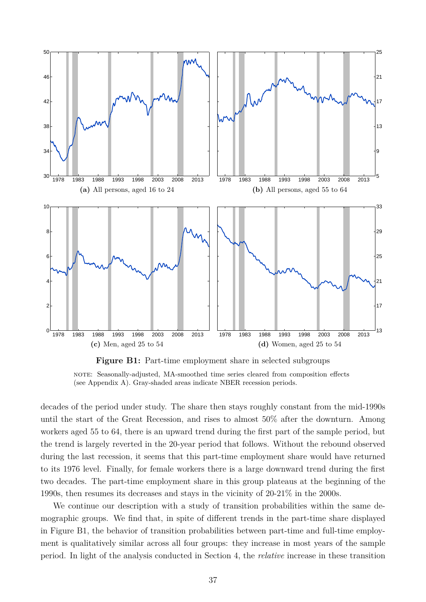<span id="page-36-0"></span>

**Figure B1:** Part-time employment share in selected subgroups note: Seasonally-adjusted, MA-smoothed time series cleared from composition effects (see Appendix [A\)](#page-31-1). Gray-shaded areas indicate NBER recession periods.

decades of the period under study. The share then stays roughly constant from the mid-1990s until the start of the Great Recession, and rises to almost 50% after the downturn. Among workers aged 55 to 64, there is an upward trend during the first part of the sample period, but the trend is largely reverted in the 20-year period that follows. Without the rebound observed during the last recession, it seems that this part-time employment share would have returned to its 1976 level. Finally, for female workers there is a large downward trend during the first two decades. The part-time employment share in this group plateaus at the beginning of the 1990s, then resumes its decreases and stays in the vicinity of 20-21% in the 2000s.

We continue our description with a study of transition probabilities within the same demographic groups. We find that, in spite of different trends in the part-time share displayed in Figure [B1,](#page-36-0) the behavior of transition probabilities between part-time and full-time employment is qualitatively similar across all four groups: they increase in most years of the sample period. In light of the analysis conducted in Section [4,](#page-8-0) the *relative* increase in these transition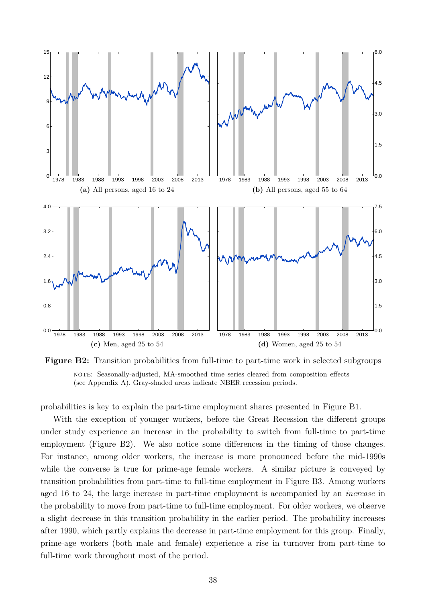<span id="page-37-0"></span>

**Figure B2:** Transition probabilities from full-time to part-time work in selected subgroups note: Seasonally-adjusted, MA-smoothed time series cleared from composition effects (see Appendix [A\)](#page-31-1). Gray-shaded areas indicate NBER recession periods.

probabilities is key to explain the part-time employment shares presented in Figure [B1.](#page-36-0)

With the exception of younger workers, before the Great Recession the different groups under study experience an increase in the probability to switch from full-time to part-time employment (Figure [B2\)](#page-37-0). We also notice some differences in the timing of those changes. For instance, among older workers, the increase is more pronounced before the mid-1990s while the converse is true for prime-age female workers. A similar picture is conveyed by transition probabilities from part-time to full-time employment in Figure [B3.](#page-38-0) Among workers aged 16 to 24, the large increase in part-time employment is accompanied by an *increase* in the probability to move from part-time to full-time employment. For older workers, we observe a slight decrease in this transition probability in the earlier period. The probability increases after 1990, which partly explains the decrease in part-time employment for this group. Finally, prime-age workers (both male and female) experience a rise in turnover from part-time to full-time work throughout most of the period.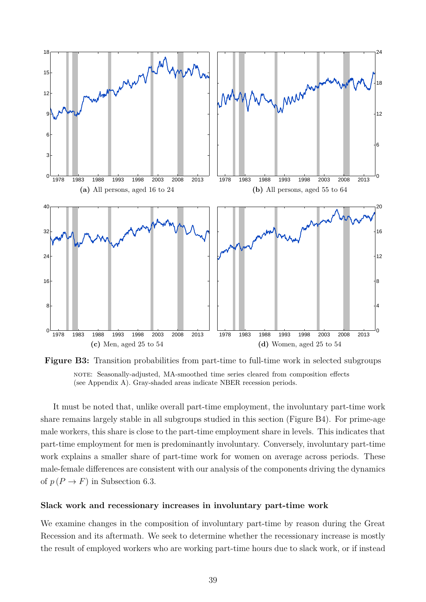<span id="page-38-0"></span>

**Figure B3:** Transition probabilities from part-time to full-time work in selected subgroups note: Seasonally-adjusted, MA-smoothed time series cleared from composition effects (see Appendix [A\)](#page-31-1). Gray-shaded areas indicate NBER recession periods.

It must be noted that, unlike overall part-time employment, the involuntary part-time work share remains largely stable in all subgroups studied in this section (Figure [B4\)](#page-39-0). For prime-age male workers, this share is close to the part-time employment share in levels. This indicates that part-time employment for men is predominantly involuntary. Conversely, involuntary part-time work explains a smaller share of part-time work for women on average across periods. These male-female differences are consistent with our analysis of the components driving the dynamics of  $p(P \to F)$  in Subsection [6.3.](#page-25-1)

#### **Slack work and recessionary increases in involuntary part-time work**

We examine changes in the composition of involuntary part-time by reason during the Great Recession and its aftermath. We seek to determine whether the recessionary increase is mostly the result of employed workers who are working part-time hours due to slack work, or if instead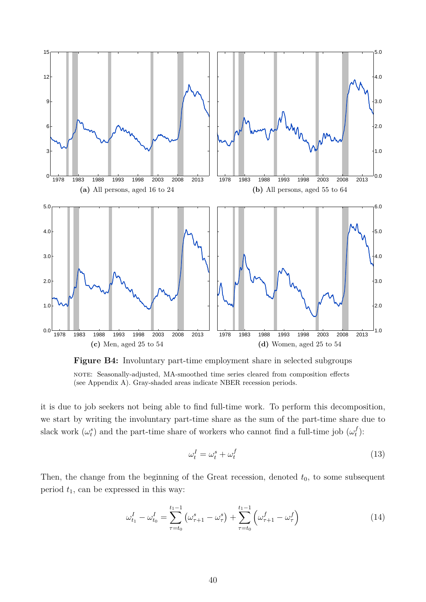<span id="page-39-0"></span>

**Figure B4:** Involuntary part-time employment share in selected subgroups note: Seasonally-adjusted, MA-smoothed time series cleared from composition effects (see Appendix [A\)](#page-31-1). Gray-shaded areas indicate NBER recession periods.

it is due to job seekers not being able to find full-time work. To perform this decomposition, we start by writing the involuntary part-time share as the sum of the part-time share due to slack work  $(\omega_t^s)$  and the part-time share of workers who cannot find a full-time job  $(\omega_t^f)$  $\eta^f_t$ ):

$$
\omega_t^I = \omega_t^s + \omega_t^f \tag{13}
$$

Then, the change from the beginning of the Great recession, denoted  $t_0$ , to some subsequent period  $t_1$ , can be expressed in this way:

$$
\omega_{t_1}^I - \omega_{t_0}^I = \sum_{\tau=t_0}^{t_1-1} \left( \omega_{\tau+1}^s - \omega_{\tau}^s \right) + \sum_{\tau=t_0}^{t_1-1} \left( \omega_{\tau+1}^f - \omega_{\tau}^f \right)
$$
(14)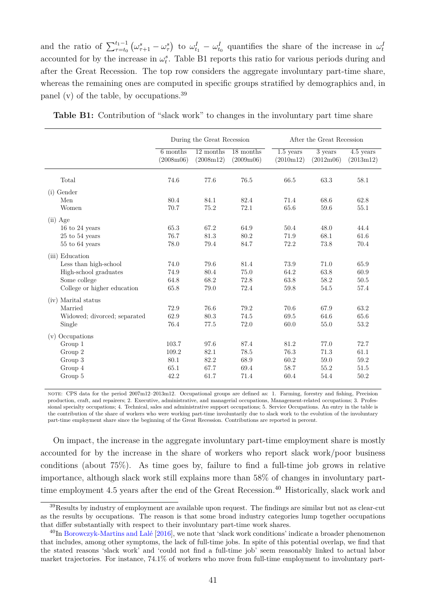and the ratio of  $\sum_{\tau=t_0}^{t_1-1} (\omega_{\tau+1}^s - \omega_{\tau}^s)$  to  $\omega_{t_1}^I - \omega_{t_0}^I$  quantifies the share of the increase in  $\omega_t^I$ accounted for by the increase in  $\omega_t^s$ . Table [B1](#page-40-0) reports this ratio for various periods during and after the Great Recession. The top row considers the aggregate involuntary part-time share, whereas the remaining ones are computed in specific groups stratified by demographics and, in panel (v) of the table, by occupations.[39](#page-0-0)

|                              |                       | During the Great Recession |                                     |                          | After the Great Recession |                          |  |  |  |
|------------------------------|-----------------------|----------------------------|-------------------------------------|--------------------------|---------------------------|--------------------------|--|--|--|
|                              | 6 months<br>(2008m06) | 12 months<br>(2008m12)     | 18 months<br>(2009 <sub>m</sub> 06) | $1.5$ years<br>(2010m12) | 3 years<br>(2012m06)      | $4.5$ years<br>(2013m12) |  |  |  |
| Total                        | 74.6                  | 77.6                       | 76.5                                | 66.5                     | 63.3                      | 58.1                     |  |  |  |
| $(i)$ Gender                 |                       |                            |                                     |                          |                           |                          |  |  |  |
| Men                          | 80.4                  | 84.1                       | 82.4                                | 71.4                     | 68.6                      | 62.8                     |  |  |  |
| Women                        | 70.7                  | 75.2                       | 72.1                                | 65.6                     | 59.6                      | 55.1                     |  |  |  |
| $(ii)$ Age                   |                       |                            |                                     |                          |                           |                          |  |  |  |
| $16$ to $24$ years           | 65.3                  | 67.2                       | 64.9                                | 50.4                     | 48.0                      | 44.4                     |  |  |  |
| $25$ to $54$ years           | 76.7                  | 81.3                       | 80.2                                | 71.9                     | 68.1                      | 61.6                     |  |  |  |
| 55 to 64 years               | 78.0                  | 79.4                       | 84.7                                | 72.2                     | 73.8                      | 70.4                     |  |  |  |
| (iii) Education              |                       |                            |                                     |                          |                           |                          |  |  |  |
| Less than high-school        | 74.0                  | 79.6                       | 81.4                                | 73.9                     | 71.0                      | 65.9                     |  |  |  |
| High-school graduates        | 74.9                  | 80.4                       | 75.0                                | 64.2                     | 63.8                      | 60.9                     |  |  |  |
| Some college                 | 64.8                  | 68.2                       | 72.8                                | 63.8                     | 58.2                      | 50.5                     |  |  |  |
| College or higher education  | 65.8                  | 79.0                       | 72.4                                | 59.8                     | 54.5                      | 57.4                     |  |  |  |
| (iv) Marital status          |                       |                            |                                     |                          |                           |                          |  |  |  |
| Married                      | 72.9                  | 76.6                       | 79.2                                | 70.6                     | 67.9                      | 63.2                     |  |  |  |
| Widowed; divorced; separated | 62.9                  | 80.3                       | 74.5                                | 69.5                     | 64.6                      | 65.6                     |  |  |  |
| Single                       | 76.4                  | 77.5                       | 72.0                                | 60.0                     | 55.0                      | 53.2                     |  |  |  |
| Occupations<br>(v)           |                       |                            |                                     |                          |                           |                          |  |  |  |
| Group 1                      | 103.7                 | 97.6                       | 87.4                                | 81.2                     | 77.0                      | 72.7                     |  |  |  |
| Group 2                      | 109.2                 | 82.1                       | 78.5                                | 76.3                     | 71.3                      | 61.1                     |  |  |  |
| Group 3                      | 80.1                  | 82.2                       | 68.9                                | 60.2                     | 59.0                      | 59.2                     |  |  |  |
| Group 4                      | 65.1                  | 67.7                       | 69.4                                | 58.7                     | 55.2                      | 51.5                     |  |  |  |
| Group 5                      | 42.2                  | 61.7                       | 71.4                                | 60.4                     | 54.4                      | 50.2                     |  |  |  |

<span id="page-40-0"></span>**Table B1:** Contribution of "slack work" to changes in the involuntary part time share

note: CPS data for the period 2007m12–2013m12. Occupational groups are defined as: 1. Farming, forestry and fishing, Precision production, craft, and repairers; 2. Executive, administrative, and managerial occupations, Management-related occupations; 3. Professional specialty occupations; 4. Technical, sales and administrative support occupations; 5. Service Occupations. An entry in the table is the contribution of the share of workers who were working part-time involuntarily due to slack work to the evolution of the involuntary part-time employment share since the beginning of the Great Recession. Contributions are reported in percent.

On impact, the increase in the aggregate involuntary part-time employment share is mostly accounted for by the increase in the share of workers who report slack work/poor business conditions (about 75%). As time goes by, failure to find a full-time job grows in relative importance, although slack work still explains more than 58% of changes in involuntary part-time employment 4.5 years after the end of the Great Recession.<sup>[40](#page-0-0)</sup> Historically, slack work and

<sup>39</sup>Results by industry of employment are available upon request. The findings are similar but not as clear-cut as the results by occupations. The reason is that some broad industry categories lump together occupations that differ substantially with respect to their involuntary part-time work shares.

<sup>40</sup>In [Borowczyk-Martins and Lalé](#page-28-0) [\[2016\]](#page-28-0), we note that 'slack work conditions' indicate a broader phenomenon that includes, among other symptoms, the lack of full-time jobs. In spite of this potential overlap, we find that the stated reasons 'slack work' and 'could not find a full-time job' seem reasonably linked to actual labor market trajectories. For instance, 74.1% of workers who move from full-time employment to involuntary part-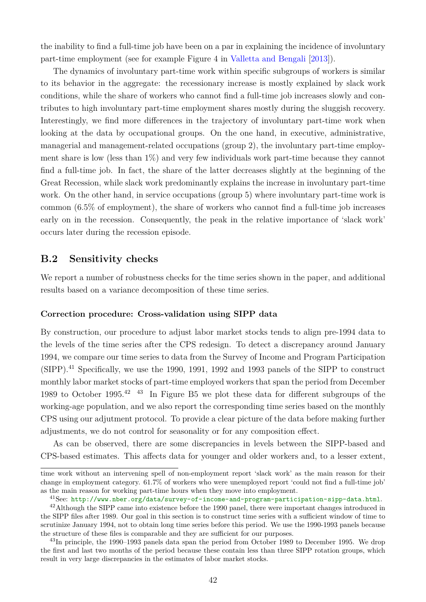the inability to find a full-time job have been on a par in explaining the incidence of involuntary part-time employment (see for example Figure 4 in [Valletta and Bengali](#page-30-5) [\[2013\]](#page-30-5)).

The dynamics of involuntary part-time work within specific subgroups of workers is similar to its behavior in the aggregate: the recessionary increase is mostly explained by slack work conditions, while the share of workers who cannot find a full-time job increases slowly and contributes to high involuntary part-time employment shares mostly during the sluggish recovery. Interestingly, we find more differences in the trajectory of involuntary part-time work when looking at the data by occupational groups. On the one hand, in executive, administrative, managerial and management-related occupations (group 2), the involuntary part-time employment share is low (less than 1%) and very few individuals work part-time because they cannot find a full-time job. In fact, the share of the latter decreases slightly at the beginning of the Great Recession, while slack work predominantly explains the increase in involuntary part-time work. On the other hand, in service occupations (group 5) where involuntary part-time work is common (6.5% of employment), the share of workers who cannot find a full-time job increases early on in the recession. Consequently, the peak in the relative importance of 'slack work' occurs later during the recession episode.

## <span id="page-41-0"></span>**B.2 Sensitivity checks**

We report a number of robustness checks for the time series shown in the paper, and additional results based on a variance decomposition of these time series.

#### **Correction procedure: Cross-validation using SIPP data**

By construction, our procedure to adjust labor market stocks tends to align pre-1994 data to the levels of the time series after the CPS redesign. To detect a discrepancy around January 1994, we compare our time series to data from the Survey of Income and Program Participation (SIPP).[41](#page-0-0) Specifically, we use the 1990, 1991, 1992 and 1993 panels of the SIPP to construct monthly labor market stocks of part-time employed workers that span the period from December 1989 to October 1995.[42](#page-0-0) [43](#page-0-0) In Figure [B5](#page-42-0) we plot these data for different subgroups of the working-age population, and we also report the corresponding time series based on the monthly CPS using our adjutment protocol. To provide a clear picture of the data before making further adjustments, we do not control for seasonality or for any composition effect.

As can be observed, there are some discrepancies in levels between the SIPP-based and CPS-based estimates. This affects data for younger and older workers and, to a lesser extent,

time work without an intervening spell of non-employment report 'slack work' as the main reason for their change in employment category. 61.7% of workers who were unemployed report 'could not find a full-time job' as the main reason for working part-time hours when they move into employment.

<sup>41</sup>See: <http://www.nber.org/data/survey-of-income-and-program-participation-sipp-data.html>.

<sup>&</sup>lt;sup>42</sup>Although the SIPP came into existence before the 1990 panel, there were important changes introduced in the SIPP files after 1989. Our goal in this section is to construct time series with a sufficient window of time to scrutinize January 1994, not to obtain long time series before this period. We use the 1990-1993 panels because the structure of these files is comparable and they are sufficient for our purposes.

<sup>&</sup>lt;sup>43</sup>In principle, the 1990–1993 panels data span the period from October 1989 to December 1995. We drop the first and last two months of the period because these contain less than three SIPP rotation groups, which result in very large discrepancies in the estimates of labor market stocks.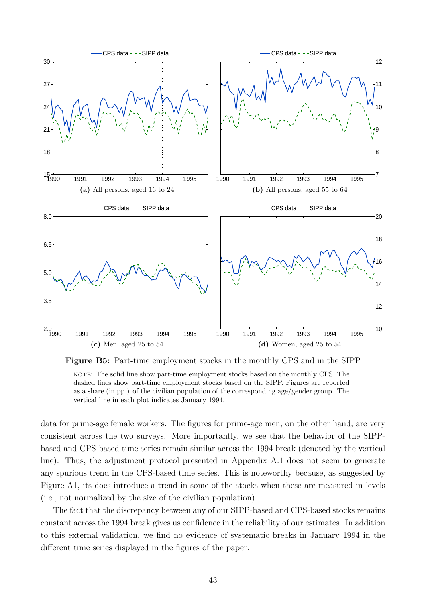<span id="page-42-0"></span>

**Figure B5:** Part-time employment stocks in the monthly CPS and in the SIPP note: The solid line show part-time employment stocks based on the monthly CPS. The

dashed lines show part-time employment stocks based on the SIPP. Figures are reported as a share (in pp.) of the civilian population of the corresponding age/gender group. The vertical line in each plot indicates January 1994.

data for prime-age female workers. The figures for prime-age men, on the other hand, are very consistent across the two surveys. More importantly, we see that the behavior of the SIPPbased and CPS-based time series remain similar across the 1994 break (denoted by the vertical line). Thus, the adjustment protocol presented in Appendix [A.1](#page-31-0) does not seem to generate any spurious trend in the CPS-based time series. This is noteworthy because, as suggested by Figure [A1,](#page-32-0) its does introduce a trend in some of the stocks when these are measured in levels (i.e., not normalized by the size of the civilian population).

The fact that the discrepancy between any of our SIPP-based and CPS-based stocks remains constant across the 1994 break gives us confidence in the reliability of our estimates. In addition to this external validation, we find no evidence of systematic breaks in January 1994 in the different time series displayed in the figures of the paper.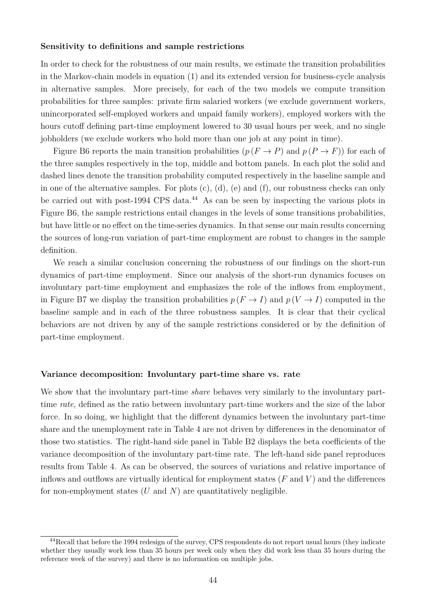#### **Sensitivity to definitions and sample restrictions**

In order to check for the robustness of our main results, we estimate the transition probabilities in the Markov-chain models in equation [\(1\)](#page-9-1) and its extended version for business-cycle analysis in alternative samples. More precisely, for each of the two models we compute transition probabilities for three samples: private firm salaried workers (we exclude government workers, unincorporated self-employed workers and unpaid family workers), employed workers with the hours cutoff defining part-time employment lowered to 30 usual hours per week, and no single jobholders (we exclude workers who hold more than one job at any point in time).

Figure [B6](#page-44-0) reports the main transition probabilities  $(p (F \rightarrow P)$  and  $p (P \rightarrow F))$  for each of the three samples respectively in the top, middle and bottom panels. In each plot the solid and dashed lines denote the transition probability computed respectively in the baseline sample and in one of the alternative samples. For plots (c), (d), (e) and (f), our robustness checks can only be carried out with post-1994 CPS data.<sup>[44](#page-0-0)</sup> As can be seen by inspecting the various plots in Figure [B6,](#page-44-0) the sample restrictions entail changes in the levels of some transitions probabilities, but have little or no effect on the time-series dynamics. In that sense our main results concerning the sources of long-run variation of part-time employment are robust to changes in the sample definition.

We reach a similar conclusion concerning the robustness of our findings on the short-run dynamics of part-time employment. Since our analysis of the short-run dynamics focuses on involuntary part-time employment and emphasizes the role of the inflows from employment, in Figure [B7](#page-45-0) we display the transition probabilities  $p(F \to I)$  and  $p(V \to I)$  computed in the baseline sample and in each of the three robustness samples. It is clear that their cyclical behaviors are not driven by any of the sample restrictions considered or by the definition of part-time employment.

#### **Variance decomposition: Involuntary part-time share vs. rate**

We show that the involuntary part-time *share* behaves very similarly to the involuntary parttime *rate*, defined as the ratio between involuntary part-time workers and the size of the labor force. In so doing, we highlight that the different dynamics between the involuntary part-time share and the unemployment rate in Table [4](#page-21-0) are not driven by differences in the denominator of those two statistics. The right-hand side panel in Table [B2](#page-46-0) displays the beta coefficients of the variance decomposition of the involuntary part-time rate. The left-hand side panel reproduces results from Table [4.](#page-21-0) As can be observed, the sources of variations and relative importance of inflows and outflows are virtually identical for employment states  $(F \text{ and } V)$  and the differences for non-employment states  $(U \text{ and } N)$  are quantitatively negligible.

<sup>44</sup>Recall that before the 1994 redesign of the survey, CPS respondents do not report usual hours (they indicate whether they usually work less than 35 hours per week only when they did work less than 35 hours during the reference week of the survey) and there is no information on multiple jobs.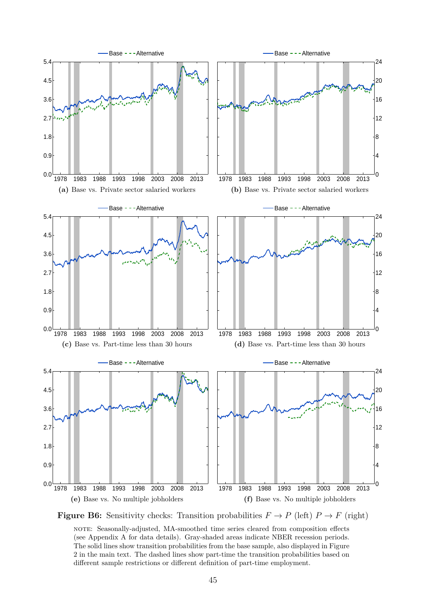<span id="page-44-0"></span>

**Figure B6:** Sensitivity checks: Transition probabilities  $F \to P$  (left)  $P \to F$  (right)

note: Seasonally-adjusted, MA-smoothed time series cleared from composition effects (see Appendix [A](#page-31-1) for data details). Gray-shaded areas indicate NBER recession periods. The solid lines show transition probabilities from the base sample, also displayed in Figure [2](#page-11-2) in the main text. The dashed lines show part-time the transition probabilities based on different sample restrictions or different definition of part-time employment.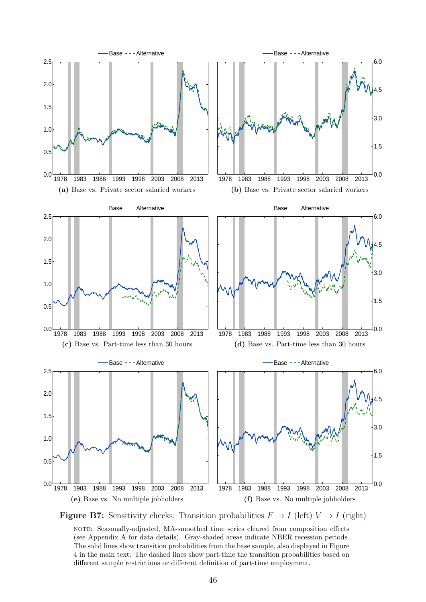<span id="page-45-0"></span>

**Figure B7:** Sensitivity checks: Transition probabilities  $F \to I$  (left)  $V \to I$  (right)

note: Seasonally-adjusted, MA-smoothed time series cleared from composition effects (see Appendix [A](#page-31-1) for data details). Gray-shaded areas indicate NBER recession periods. The solid lines show transition probabilities from the base sample, also displayed in Figure [4](#page-19-0) in the main text. The dashed lines show part-time the transition probabilities based on different sample restrictions or different definition of part-time employment.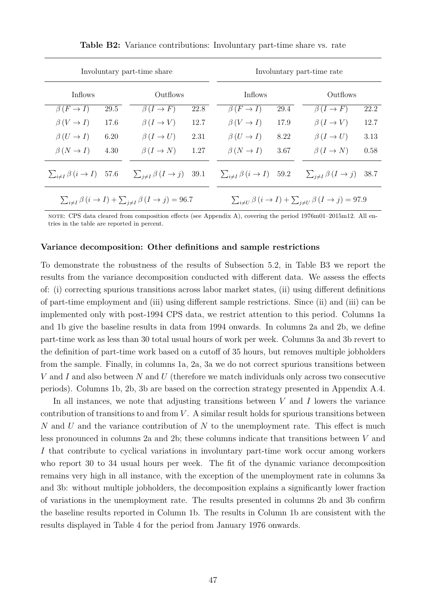<span id="page-46-0"></span>

|                                               | Involuntary part-time share                                                    | Involuntary part-time rate                     |      |                                                                                |      |                               |      |
|-----------------------------------------------|--------------------------------------------------------------------------------|------------------------------------------------|------|--------------------------------------------------------------------------------|------|-------------------------------|------|
| <b>Inflows</b>                                |                                                                                | Outflows                                       |      | Inflows                                                                        |      | Outflows                      |      |
| $\beta(F \to I)$                              | 29.5                                                                           | $\beta(I \to F)$                               | 22.8 | $\beta(F \to I)$                                                               | 29.4 | $\beta(I \to F)$              | 22.2 |
| $\beta(V \to I)$                              | 17.6                                                                           | $\beta(I \to V)$                               | 12.7 | $\beta(V \to I)$                                                               | 17.9 | $\beta(I \to V)$              | 12.7 |
| $\beta(U \to I)$                              | 6.20                                                                           | $\beta(I \to U)$                               | 2.31 | $\beta(U \to I)$                                                               | 8.22 | $\beta(I \to U)$              | 3.13 |
| $\beta(N \to I)$                              | 4.30                                                                           | $\beta(I \to N)$                               | 1.27 | $\beta(N \to I)$                                                               | 3.67 | $\beta(I \to N)$              | 0.58 |
| $\sum_{i \neq I} \beta(i \rightarrow I)$ 57.6 |                                                                                | $\sum_{i \neq I} \beta (I \rightarrow j)$ 39.1 |      | $\sum_{i \neq I} \beta(i \rightarrow I)$ 59.2                                  |      | $\sum_{i\neq I}\beta(I\to j)$ | 38.7 |
|                                               | $\sum_{i\neq I}\beta(i\rightarrow I)+\sum_{i\neq I}\beta(I\rightarrow j)=96.7$ |                                                |      | $\sum_{i\neq U}\beta(i\rightarrow I)+\sum_{i\neq U}\beta(I\rightarrow j)=97.9$ |      |                               |      |

**Table B2:** Variance contributions: Involuntary part-time share vs. rate

note: CPS data cleared from composition effects (see Appendix [A\)](#page-31-1), covering the period 1976m01–2015m12. All entries in the table are reported in percent.

#### **Variance decomposition: Other definitions and sample restrictions**

To demonstrate the robustness of the results of Subsection [5.2,](#page-16-1) in Table [B3](#page-47-0) we report the results from the variance decomposition conducted with different data. We assess the effects of: (i) correcting spurious transitions across labor market states, (ii) using different definitions of part-time employment and (iii) using different sample restrictions. Since (ii) and (iii) can be implemented only with post-1994 CPS data, we restrict attention to this period. Columns 1a and 1b give the baseline results in data from 1994 onwards. In columns 2a and 2b, we define part-time work as less than 30 total usual hours of work per week. Columns 3a and 3b revert to the definition of part-time work based on a cutoff of 35 hours, but removes multiple jobholders from the sample. Finally, in columns 1a, 2a, 3a we do not correct spurious transitions between V and I and also between N and U (therefore we match individuals only across two consecutive periods). Columns 1b, 2b, 3b are based on the correction strategy presented in Appendix [A.4.](#page-34-0)

In all instances, we note that adjusting transitions between  $V$  and  $I$  lowers the variance contribution of transitions to and from  $V$ . A similar result holds for spurious transitions between  $N$  and  $U$  and the variance contribution of  $N$  to the unemployment rate. This effect is much less pronounced in columns 2a and 2b; these columns indicate that transitions between V and I that contribute to cyclical variations in involuntary part-time work occur among workers who report 30 to 34 usual hours per week. The fit of the dynamic variance decomposition remains very high in all instance, with the exception of the unemployment rate in columns 3a and 3b: without multiple jobholders, the decomposition explains a significantly lower fraction of variations in the unemployment rate. The results presented in columns 2b and 3b confirm the baseline results reported in Column 1b. The results in Column 1b are consistent with the results displayed in Table [4](#page-21-0) for the period from January 1976 onwards.